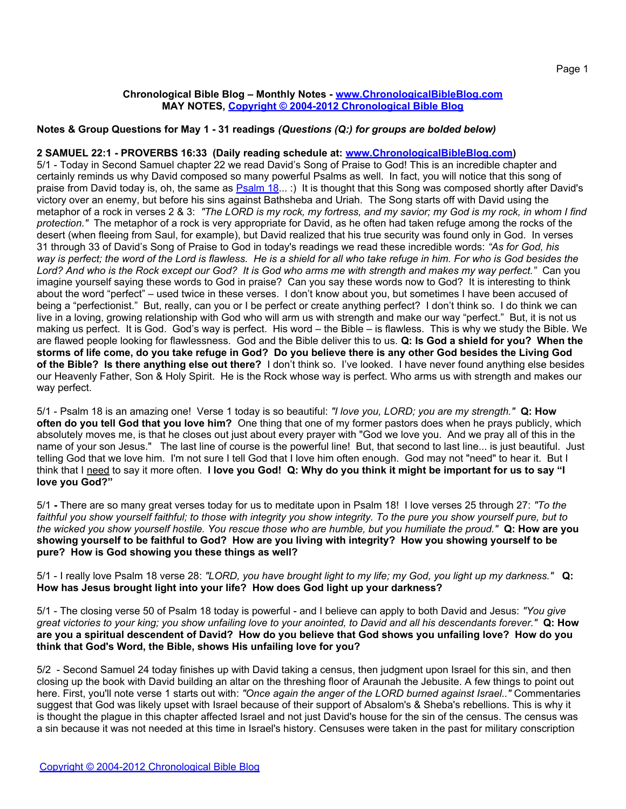## **Notes & Group Questions for May 1 - 31 readings** *(Questions (Q:) for groups are bolded below)*

#### **2 SAMUEL 22:1 - PROVERBS 16:33 (Daily reading schedule at: [www.ChronologicalBibleBlog.com\)](http://www.chronologicalbibleblog.com/)**

5/1 - Today in Second Samuel chapter 22 we read David's Song of Praise to God! This is an incredible chapter and certainly reminds us why David composed so many powerful Psalms as well. In fact, you will notice that this song of praise from David today is, oh, the same a[s](http://www.biblegateway.com/passage/?search=psalm+18) [Psalm 18.](http://www.biblegateway.com/passage/?search=psalm+18).. :) It is thought that this Song was composed shortly after David's victory over an enemy, but before his sins against Bathsheba and Uriah. The Song starts off with David using the metaphor of a rock in verses 2 & 3: *"The LORD is my rock, my fortress, and my savior; my God is my rock, in whom I find protection."* The metaphor of a rock is very appropriate for David, as he often had taken refuge among the rocks of the desert (when fleeing from Saul, for example), but David realized that his true security was found only in God. In verses 31 through 33 of David's Song of Praise to God in today's readings we read these incredible words: *"As for God, his*  way is perfect; the word of the Lord is flawless. He is a shield for all who take refuge in him. For who is God besides the *Lord? And who is the Rock except our God? It is God who arms me with strength and makes my way perfect."* Can you imagine yourself saying these words to God in praise? Can you say these words now to God? It is interesting to think about the word "perfect" – used twice in these verses. I don't know about you, but sometimes I have been accused of being a "perfectionist." But, really, can you or I be perfect or create anything perfect? I don't think so. I do think we can live in a loving, growing relationship with God who will arm us with strength and make our way "perfect." But, it is not us making us perfect. It is God. God's way is perfect. His word – the Bible – is flawless. This is why we study the Bible. We are flawed people looking for flawlessness. God and the Bible deliver this to us. **Q: Is God a shield for you? When the storms of life come, do you take refuge in God? Do you believe there is any other God besides the Living God of the Bible? Is there anything else out there?** I don't think so. I've looked. I have never found anything else besides our Heavenly Father, Son & Holy Spirit. He is the Rock whose way is perfect. Who arms us with strength and makes our way perfect.

5/1 - Psalm 18 is an amazing one! Verse 1 today is so beautiful: *"I love you, LORD; you are my strength."* **Q: How often do you tell God that you love him?** One thing that one of my former pastors does when he prays publicly, which absolutely moves me, is that he closes out just about every prayer with "God we love you. And we pray all of this in the name of your son Jesus." The last line of course is the powerful line! But, that second to last line... is just beautiful. Just telling God that we love him. I'm not sure I tell God that I love him often enough. God may not "need" to hear it. But I think that I need to say it more often. I love you God! Q: Why do you think it might be important for us to say "I **love you God?"**

5/1 **-** There are so many great verses today for us to meditate upon in Psalm 18! I love verses 25 through 27: *"To the faithful you show yourself faithful; to those with integrity you show integrity. To the pure you show yourself pure, but to the wicked you show yourself hostile. You rescue those who are humble, but you humiliate the proud."* **Q: How are you showing yourself to be faithful to God? How are you living with integrity? How you showing yourself to be pure? How is God showing you these things as well?**

5/1 - I really love Psalm 18 verse 28: *"LORD, you have brought light to my life; my God, you light up my darkness."* **Q: How has Jesus brought light into your life? How does God light up your darkness?**

5/1 - The closing verse 50 of Psalm 18 today is powerful - and I believe can apply to both David and Jesus: *"You give great victories to your king; you show unfailing love to your anointed, to David and all his descendants forever."* **Q: How are you a spiritual descendent of David? How do you believe that God shows you unfailing love? How do you think that God's Word, the Bible, shows His unfailing love for you?**

5/2 - Second Samuel 24 today finishes up with David taking a census, then judgment upon Israel for this sin, and then closing up the book with David building an altar on the threshing floor of Araunah the Jebusite. A few things to point out here. First, you'll note verse 1 starts out with: *"Once again the anger of the LORD burned against Israel.."* Commentaries suggest that God was likely upset with Israel because of their support of Absalom's & Sheba's rebellions. This is why it is thought the plague in this chapter affected Israel and not just David's house for the sin of the census. The census was a sin because it was not needed at this time in Israel's history. Censuses were taken in the past for military conscription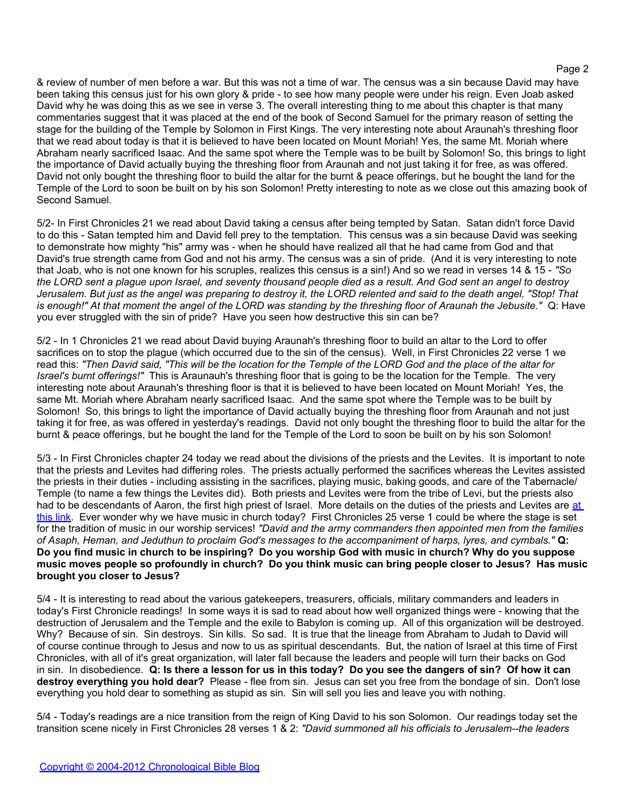& review of number of men before a war. But this was not a time of war. The census was a sin because David may have been taking this census just for his own glory & pride - to see how many people were under his reign. Even Joab asked David why he was doing this as we see in verse 3. The overall interesting thing to me about this chapter is that many commentaries suggest that it was placed at the end of the book of Second Samuel for the primary reason of setting the stage for the building of the Temple by Solomon in First Kings. The very interesting note about Araunah's threshing floor that we read about today is that it is believed to have been located on Mount Moriah! Yes, the same Mt. Moriah where Abraham nearly sacrificed Isaac. And the same spot where the Temple was to be built by Solomon! So, this brings to light the importance of David actually buying the threshing floor from Araunah and not just taking it for free, as was offered. David not only bought the threshing floor to build the altar for the burnt & peace offerings, but he bought the land for the Temple of the Lord to soon be built on by his son Solomon! Pretty interesting to note as we close out this amazing book of Second Samuel.

5/2- In First Chronicles 21 we read about David taking a census after being tempted by Satan. Satan didn't force David to do this - Satan tempted him and David fell prey to the temptation. This census was a sin because David was seeking to demonstrate how mighty "his" army was - when he should have realized all that he had came from God and that David's true strength came from God and not his army. The census was a sin of pride. (And it is very interesting to note that Joab, who is not one known for his scruples, realizes this census is a sin!) And so we read in verses 14 & 15 - *"So the LORD sent a plague upon Israel, and seventy thousand people died as a result. And God sent an angel to destroy Jerusalem. But just as the angel was preparing to destroy it, the LORD relented and said to the death angel, "Stop! That is enough!" At that moment the angel of the LORD was standing by the threshing floor of Araunah the Jebusite."* Q: Have you ever struggled with the sin of pride? Have you seen how destructive this sin can be?

5/2 - In 1 Chronicles 21 we read about David buying Araunah's threshing floor to build an altar to the Lord to offer sacrifices on to stop the plague (which occurred due to the sin of the census). Well, in First Chronicles 22 verse 1 we read this: *"Then David said, "This will be the location for the Temple of the LORD God and the place of the altar for Israel's burnt offerings!"* This is Araunauh's threshing floor that is going to be the location for the Temple. The very interesting note about Araunah's threshing floor is that it is believed to have been located on Mount Moriah! Yes, the same Mt. Moriah where Abraham nearly sacrificed Isaac. And the same spot where the Temple was to be built by Solomon! So, this brings to light the importance of David actually buying the threshing floor from Araunah and not just taking it for free, as was offered in yesterday's readings. David not only bought the threshing floor to build the altar for the burnt & peace offerings, but he bought the land for the Temple of the Lord to soon be built on by his son Solomon!

5/3 - In First Chronicles chapter 24 today we read about the divisions of the priests and the Levites. It is important to note that the priests and Levites had differing roles. The priests actually performed the sacrifices whereas the Levites assisted the priests in their duties - including assisting in the sacrifices, playing music, baking goods, and care of the Tabernacle/ Temple (to name a few things the Levites did). Both priests and Levites were from the tribe of Levi, but the priests also had to be descendants of Aaron, the first high priest of Israel. More details on the duties of the priests and Levites are [at](http://www.3dbibleproject.com/en/temple/details/priest_service.htm) [this](http://www.3dbibleproject.com/en/temple/details/priest_service.htm) [link](http://www.3dbibleproject.com/en/temple/details/priest_service.htm). Ever wonder why we have music in church today? First Chronicles 25 verse 1 could be where the stage is set for the tradition of music in our worship services! *"David and the army commanders then appointed men from the families of Asaph, Heman, and Jeduthun to proclaim God's messages to the accompaniment of harps, lyres, and cymbals."* **Q: Do you find music in church to be inspiring? Do you worship God with music in church? Why do you suppose music moves people so profoundly in church? Do you think music can bring people closer to Jesus? Has music brought you closer to Jesus?**

5/4 - It is interesting to read about the various gatekeepers, treasurers, officials, military commanders and leaders in today's First Chronicle readings! In some ways it is sad to read about how well organized things were - knowing that the destruction of Jerusalem and the Temple and the exile to Babylon is coming up. All of this organization will be destroyed. Why? Because of sin. Sin destroys. Sin kills. So sad. It is true that the lineage from Abraham to Judah to David will of course continue through to Jesus and now to us as spiritual descendants. But, the nation of Israel at this time of First Chronicles, with all of it's great organization, will later fall because the leaders and people will turn their backs on God in sin. In disobedience. **Q: Is there a lesson for us in this today? Do you see the dangers of sin? Of how it can destroy everything you hold dear?** Please - flee from sin. Jesus can set you free from the bondage of sin. Don't lose everything you hold dear to something as stupid as sin. Sin will sell you lies and leave you with nothing.

5/4 - Today's readings are a nice transition from the reign of King David to his son Solomon. Our readings today set the transition scene nicely in First Chronicles 28 verses 1 & 2: *"David summoned all his officials to Jerusalem--the leaders*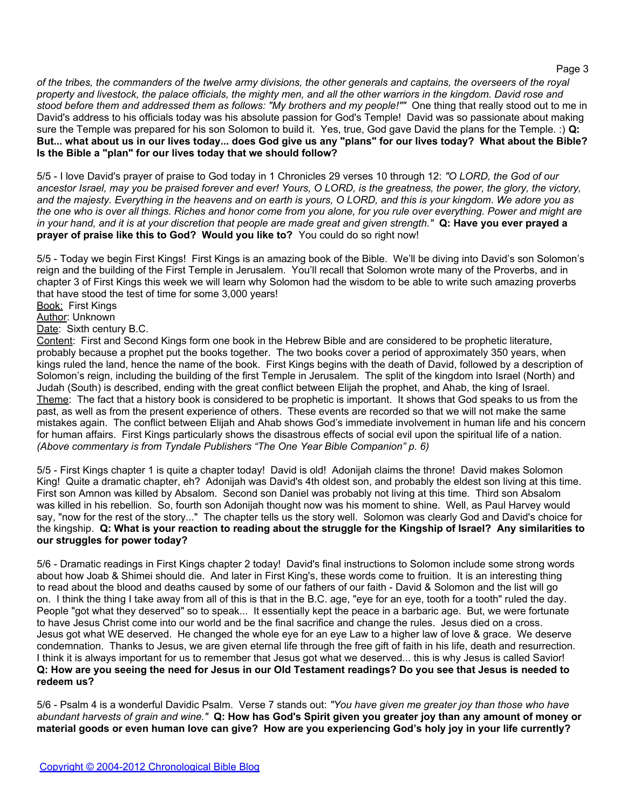*of the tribes, the commanders of the twelve army divisions, the other generals and captains, the overseers of the royal property and livestock, the palace officials, the mighty men, and all the other warriors in the kingdom. David rose and stood before them and addressed them as follows: "My brothers and my people!""* One thing that really stood out to me in David's address to his officials today was his absolute passion for God's Temple! David was so passionate about making sure the Temple was prepared for his son Solomon to build it. Yes, true, God gave David the plans for the Temple. :) **Q: But... what about us in our lives today... does God give us any "plans" for our lives today? What about the Bible? Is the Bible a "plan" for our lives today that we should follow?**

5/5 - I love David's prayer of praise to God today in 1 Chronicles 29 verses 10 through 12: *"O LORD, the God of our ancestor Israel, may you be praised forever and ever! Yours, O LORD, is the greatness, the power, the glory, the victory, and the majesty. Everything in the heavens and on earth is yours, O LORD, and this is your kingdom. We adore you as the one who is over all things. Riches and honor come from you alone, for you rule over everything. Power and might are in your hand, and it is at your discretion that people are made great and given strength."* **Q: Have you ever prayed a prayer of praise like this to God? Would you like to?** You could do so right now!

5/5 - Today we begin First Kings! First Kings is an amazing book of the Bible. We'll be diving into David's son Solomon's reign and the building of the First Temple in Jerusalem. You'll recall that Solomon wrote many of the Proverbs, and in chapter 3 of First Kings this week we will learn why Solomon had the wisdom to be able to write such amazing proverbs that have stood the test of time for some 3,000 years!

Book: First Kings

Author: Unknown Date: Sixth century B.C.

Content: First and Second Kings form one book in the Hebrew Bible and are considered to be prophetic literature, probably because a prophet put the books together. The two books cover a period of approximately 350 years, when kings ruled the land, hence the name of the book. First Kings begins with the death of David, followed by a description of Solomon's reign, including the building of the first Temple in Jerusalem. The split of the kingdom into Israel (North) and Judah (South) is described, ending with the great conflict between Elijah the prophet, and Ahab, the king of Israel. Theme: The fact that a history book is considered to be prophetic is important. It shows that God speaks to us from the past, as well as from the present experience of others. These events are recorded so that we will not make the same mistakes again. The conflict between Elijah and Ahab shows God's immediate involvement in human life and his concern for human affairs. First Kings particularly shows the disastrous effects of social evil upon the spiritual life of a nation. *(Above commentary is from Tyndale Publishers "The One Year Bible Companion" p. 6)*

5/5 - First Kings chapter 1 is quite a chapter today! David is old! Adonijah claims the throne! David makes Solomon King! Quite a dramatic chapter, eh? Adonijah was David's 4th oldest son, and probably the eldest son living at this time. First son Amnon was killed by Absalom. Second son Daniel was probably not living at this time. Third son Absalom was killed in his rebellion. So, fourth son Adonijah thought now was his moment to shine. Well, as Paul Harvey would say, "now for the rest of the story..." The chapter tells us the story well. Solomon was clearly God and David's choice for the kingship. **Q: What is your reaction to reading about the struggle for the Kingship of Israel? Any similarities to our struggles for power today?**

5/6 - Dramatic readings in First Kings chapter 2 today! David's final instructions to Solomon include some strong words about how Joab & Shimei should die. And later in First King's, these words come to fruition. It is an interesting thing to read about the blood and deaths caused by some of our fathers of our faith - David & Solomon and the list will go on. I think the thing I take away from all of this is that in the B.C. age, "eye for an eye, tooth for a tooth" ruled the day. People "got what they deserved" so to speak... It essentially kept the peace in a barbaric age. But, we were fortunate to have Jesus Christ come into our world and be the final sacrifice and change the rules. Jesus died on a cross. Jesus got what WE deserved. He changed the whole eye for an eye Law to a higher law of love & grace. We deserve condemnation. Thanks to Jesus, we are given eternal life through the free gift of faith in his life, death and resurrection. I think it is always important for us to remember that Jesus got what we deserved... this is why Jesus is called Savior! **Q: How are you seeing the need for Jesus in our Old Testament readings? Do you see that Jesus is needed to redeem us?**

5/6 - Psalm 4 is a wonderful Davidic Psalm. Verse 7 stands out: *"You have given me greater joy than those who have abundant harvests of grain and wine."* **Q: How has God's Spirit given you greater joy than any amount of money or material goods or even human love can give? How are you experiencing God's holy joy in your life currently?**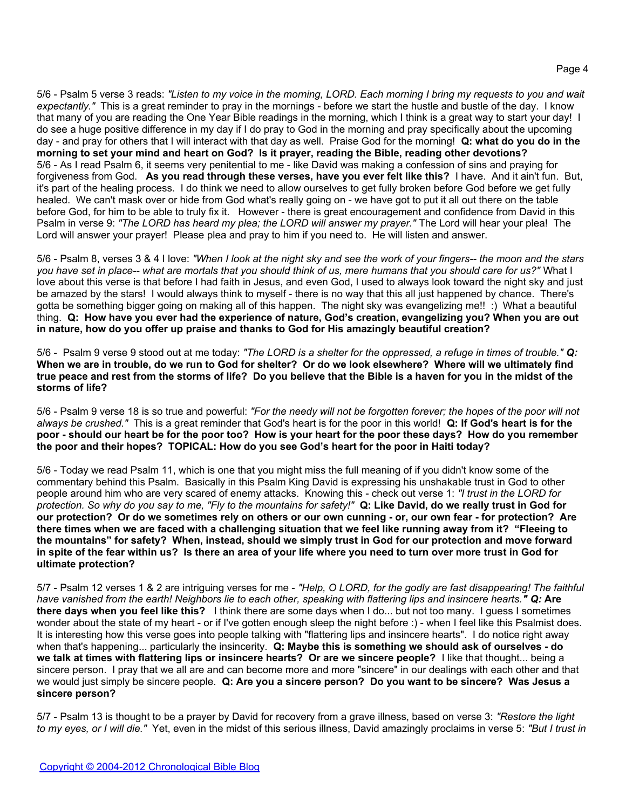5/6 - Psalm 5 verse 3 reads: *"Listen to my voice in the morning, LORD. Each morning I bring my requests to you and wait expectantly."* This is a great reminder to pray in the mornings - before we start the hustle and bustle of the day. I know that many of you are reading the One Year Bible readings in the morning, which I think is a great way to start your day! I do see a huge positive difference in my day if I do pray to God in the morning and pray specifically about the upcoming day - and pray for others that I will interact with that day as well. Praise God for the morning! **Q: what do you do in the morning to set your mind and heart on God? Is it prayer, reading the Bible, reading other devotions?** 5/6 - As I read Psalm 6, it seems very penitential to me - like David was making a confession of sins and praying for forgiveness from God. **As you read through these verses, have you ever felt like this?** I have. And it ain't fun. But, it's part of the healing process. I do think we need to allow ourselves to get fully broken before God before we get fully healed. We can't mask over or hide from God what's really going on - we have got to put it all out there on the table before God, for him to be able to truly fix it. However - there is great encouragement and confidence from David in this Psalm in verse 9: *"The LORD has heard my plea; the LORD will answer my prayer."* The Lord will hear your plea! The Lord will answer your prayer! Please plea and pray to him if you need to. He will listen and answer.

5/6 - Psalm 8, verses 3 & 4 I love: *"When I look at the night sky and see the work of your fingers-- the moon and the stars you have set in place-- what are mortals that you should think of us, mere humans that you should care for us?"* What I love about this verse is that before I had faith in Jesus, and even God, I used to always look toward the night sky and just be amazed by the stars! I would always think to myself - there is no way that this all just happened by chance. There's gotta be something bigger going on making all of this happen. The night sky was evangelizing me!! :) What a beautiful thing. **Q: How have you ever had the experience of nature, God's creation, evangelizing you? When you are out in nature, how do you offer up praise and thanks to God for His amazingly beautiful creation?**

5/6 - Psalm 9 verse 9 stood out at me today: *"The LORD is a shelter for the oppressed, a refuge in times of trouble." Q:*  **When we are in trouble, do we run to God for shelter? Or do we look elsewhere? Where will we ultimately find true peace and rest from the storms of life? Do you believe that the Bible is a haven for you in the midst of the storms of life?**

5/6 - Psalm 9 verse 18 is so true and powerful: *"For the needy will not be forgotten forever; the hopes of the poor will not always be crushed."* This is a great reminder that God's heart is for the poor in this world! **Q: If God's heart is for the poor - should our heart be for the poor too? How is your heart for the poor these days? How do you remember the poor and their hopes? TOPICAL: How do you see God's heart for the poor in Haiti today?**

5/6 - Today we read Psalm 11, which is one that you might miss the full meaning of if you didn't know some of the commentary behind this Psalm. Basically in this Psalm King David is expressing his unshakable trust in God to other people around him who are very scared of enemy attacks. Knowing this - check out verse 1: *"I trust in the LORD for protection. So why do you say to me, "Fly to the mountains for safety!"* **Q: Like David, do we really trust in God for our protection? Or do we sometimes rely on others or our own cunning - or, our own fear - for protection? Are there times when we are faced with a challenging situation that we feel like running away from it? "Fleeing to the mountains" for safety? When, instead, should we simply trust in God for our protection and move forward in spite of the fear within us? Is there an area of your life where you need to turn over more trust in God for ultimate protection?**

5/7 - Psalm 12 verses 1 & 2 are intriguing verses for me - *"Help, O LORD, for the godly are fast disappearing! The faithful have vanished from the earth! Neighbors lie to each other, speaking with flattering lips and insincere hearts." Q:* **Are there days when you feel like this?** I think there are some days when I do... but not too many. I guess I sometimes wonder about the state of my heart - or if I've gotten enough sleep the night before :) - when I feel like this Psalmist does. It is interesting how this verse goes into people talking with "flattering lips and insincere hearts". I do notice right away when that's happening... particularly the insincerity. **Q: Maybe this is something we should ask of ourselves - do we talk at times with flattering lips or insincere hearts? Or are we sincere people?** I like that thought... being a sincere person. I pray that we all are and can become more and more "sincere" in our dealings with each other and that we would just simply be sincere people. **Q: Are you a sincere person? Do you want to be sincere? Was Jesus a sincere person?**

5/7 - Psalm 13 is thought to be a prayer by David for recovery from a grave illness, based on verse 3: *"Restore the light to my eyes, or I will die."* Yet, even in the midst of this serious illness, David amazingly proclaims in verse 5: *"But I trust in*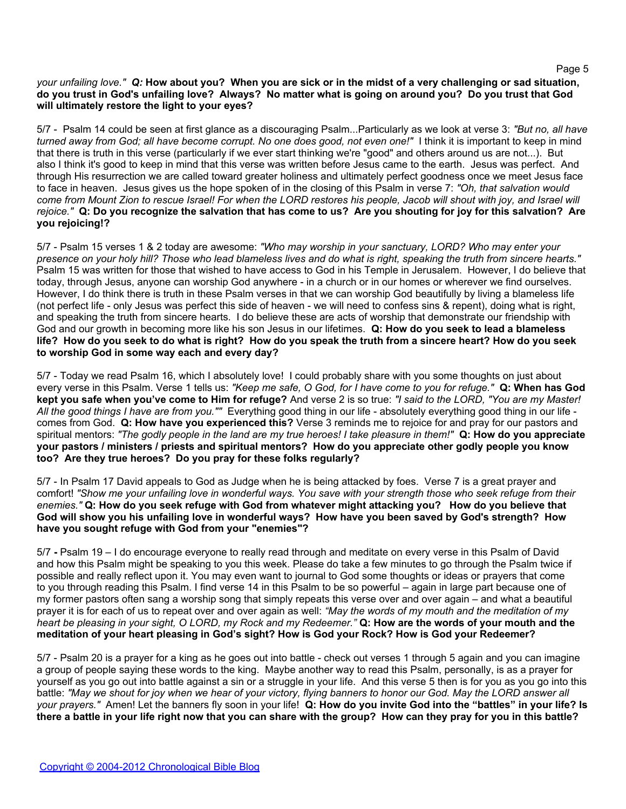## *your unfailing love." Q:* **How about you? When you are sick or in the midst of a very challenging or sad situation, do you trust in God's unfailing love? Always? No matter what is going on around you? Do you trust that God will ultimately restore the light to your eyes?**

5/7 - Psalm 14 could be seen at first glance as a discouraging Psalm...Particularly as we look at verse 3: *"But no, all have turned away from God; all have become corrupt. No one does good, not even one!"* I think it is important to keep in mind that there is truth in this verse (particularly if we ever start thinking we're "good" and others around us are not...). But also I think it's good to keep in mind that this verse was written before Jesus came to the earth. Jesus was perfect. And through His resurrection we are called toward greater holiness and ultimately perfect goodness once we meet Jesus face to face in heaven. Jesus gives us the hope spoken of in the closing of this Psalm in verse 7: *"Oh, that salvation would come from Mount Zion to rescue Israel! For when the LORD restores his people, Jacob will shout with joy, and Israel will rejoice."* **Q: Do you recognize the salvation that has come to us? Are you shouting for joy for this salvation? Are you rejoicing!?**

5/7 - Psalm 15 verses 1 & 2 today are awesome: *"Who may worship in your sanctuary, LORD? Who may enter your presence on your holy hill? Those who lead blameless lives and do what is right, speaking the truth from sincere hearts."* Psalm 15 was written for those that wished to have access to God in his Temple in Jerusalem. However, I do believe that today, through Jesus, anyone can worship God anywhere - in a church or in our homes or wherever we find ourselves. However, I do think there is truth in these Psalm verses in that we can worship God beautifully by living a blameless life (not perfect life - only Jesus was perfect this side of heaven - we will need to confess sins & repent), doing what is right, and speaking the truth from sincere hearts. I do believe these are acts of worship that demonstrate our friendship with God and our growth in becoming more like his son Jesus in our lifetimes. **Q: How do you seek to lead a blameless life? How do you seek to do what is right? How do you speak the truth from a sincere heart? How do you seek to worship God in some way each and every day?**

5/7 - Today we read Psalm 16, which I absolutely love! I could probably share with you some thoughts on just about every verse in this Psalm. Verse 1 tells us: *"Keep me safe, O God, for I have come to you for refuge."* **Q: When has God kept you safe when you've come to Him for refuge?** And verse 2 is so true: *"I said to the LORD, "You are my Master! All the good things I have are from you.""* Everything good thing in our life - absolutely everything good thing in our life comes from God. **Q: How have you experienced this?** Verse 3 reminds me to rejoice for and pray for our pastors and spiritual mentors: *"The godly people in the land are my true heroes! I take pleasure in them!"* **Q: How do you appreciate your pastors / ministers / priests and spiritual mentors? How do you appreciate other godly people you know too? Are they true heroes? Do you pray for these folks regularly?**

5/7 - In Psalm 17 David appeals to God as Judge when he is being attacked by foes. Verse 7 is a great prayer and comfort! *"Show me your unfailing love in wonderful ways. You save with your strength those who seek refuge from their enemies."* **Q: How do you seek refuge with God from whatever might attacking you? How do you believe that God will show you his unfailing love in wonderful ways? How have you been saved by God's strength? How have you sought refuge with God from your "enemies"?**

5/7 **-** Psalm 19 – I do encourage everyone to really read through and meditate on every verse in this Psalm of David and how this Psalm might be speaking to you this week. Please do take a few minutes to go through the Psalm twice if possible and really reflect upon it. You may even want to journal to God some thoughts or ideas or prayers that come to you through reading this Psalm. I find verse 14 in this Psalm to be so powerful – again in large part because one of my former pastors often sang a worship song that simply repeats this verse over and over again – and what a beautiful prayer it is for each of us to repeat over and over again as well: *"May the words of my mouth and the meditation of my heart be pleasing in your sight, O LORD, my Rock and my Redeemer."* **Q: How are the words of your mouth and the meditation of your heart pleasing in God's sight? How is God your Rock? How is God your Redeemer?**

5/7 - Psalm 20 is a prayer for a king as he goes out into battle - check out verses 1 through 5 again and you can imagine a group of people saying these words to the king. Maybe another way to read this Psalm, personally, is as a prayer for yourself as you go out into battle against a sin or a struggle in your life. And this verse 5 then is for you as you go into this battle: *"May we shout for joy when we hear of your victory, flying banners to honor our God. May the LORD answer all your prayers."* Amen! Let the banners fly soon in your life! **Q: How do you invite God into the "battles" in your life? Is there a battle in your life right now that you can share with the group? How can they pray for you in this battle?**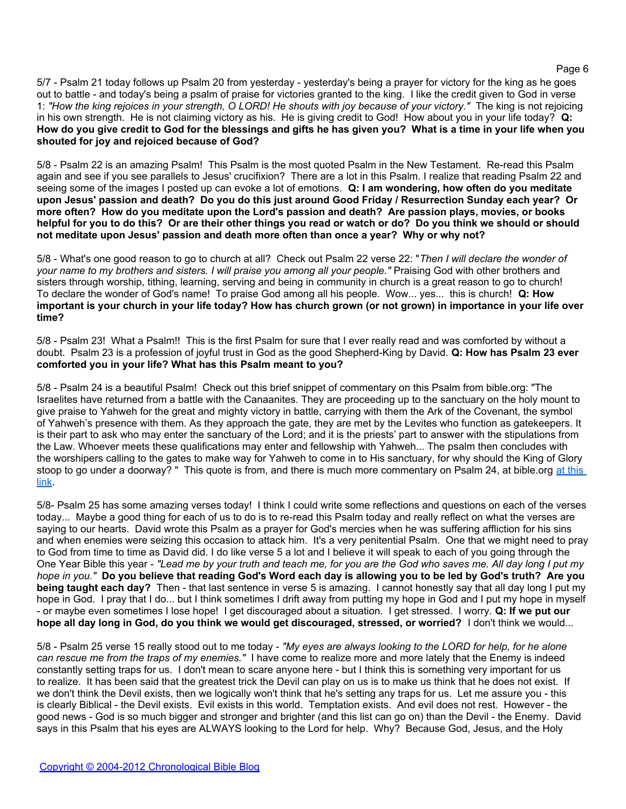5/7 - Psalm 21 today follows up Psalm 20 from yesterday - yesterday's being a prayer for victory for the king as he goes out to battle - and today's being a psalm of praise for victories granted to the king. I like the credit given to God in verse 1: *"How the king rejoices in your strength, O LORD! He shouts with joy because of your victory."* The king is not rejoicing in his own strength. He is not claiming victory as his. He is giving credit to God! How about you in your life today? **Q: How do you give credit to God for the blessings and gifts he has given you? What is a time in your life when you shouted for joy and rejoiced because of God?**

5/8 - Psalm 22 is an amazing Psalm! This Psalm is the most quoted Psalm in the New Testament. Re-read this Psalm again and see if you see parallels to Jesus' crucifixion? There are a lot in this Psalm. I realize that reading Psalm 22 and seeing some of the images I posted up can evoke a lot of emotions. **Q: I am wondering, how often do you meditate upon Jesus' passion and death? Do you do this just around Good Friday / Resurrection Sunday each year? Or more often? How do you meditate upon the Lord's passion and death? Are passion plays, movies, or books helpful for you to do this? Or are their other things you read or watch or do? Do you think we should or should not meditate upon Jesus' passion and death more often than once a year? Why or why not?**

5/8 - What's one good reason to go to church at all? Check out Psalm 22 verse 22: "*Then I will declare the wonder of your name to my brothers and sisters. I will praise you among all your people."* Praising God with other brothers and sisters through worship, tithing, learning, serving and being in community in church is a great reason to go to church! To declare the wonder of God's name! To praise God among all his people. Wow... yes... this is church! **Q: How important is your church in your life today? How has church grown (or not grown) in importance in your life over time?**

5/8 - Psalm 23! What a Psalm!! This is the first Psalm for sure that I ever really read and was comforted by without a doubt. Psalm 23 is a profession of joyful trust in God as the good Shepherd-King by David. **Q: How has Psalm 23 ever comforted you in your life? What has this Psalm meant to you?**

5/8 - Psalm 24 is a beautiful Psalm! Check out this brief snippet of commentary on this Psalm from bible.org: "The Israelites have returned from a battle with the Canaanites. They are proceeding up to the sanctuary on the holy mount to give praise to Yahweh for the great and mighty victory in battle, carrying with them the Ark of the Covenant, the symbol of Yahweh's presence with them. As they approach the gate, they are met by the Levites who function as gatekeepers. It is their part to ask who may enter the sanctuary of the Lord; and it is the priests' part to answer with the stipulations from the Law. Whoever meets these qualifications may enter and fellowship with Yahweh... The psalm then concludes with the worshipers calling to the gates to make way for Yahweh to come in to His sanctuary, for why should the King of Glory stoop to [g](http://blank/)o under a doorway? " This quote is from, and there is much more commentary on Psalm 24, [at](http://blank/) bible.org at [this](http://blank/) [link](http://blank/).

5/8- Psalm 25 has some amazing verses today! I think I could write some reflections and questions on each of the verses today... Maybe a good thing for each of us to do is to re-read this Psalm today and really reflect on what the verses are saying to our hearts. David wrote this Psalm as a prayer for God's mercies when he was suffering affliction for his sins and when enemies were seizing this occasion to attack him. It's a very penitential Psalm. One that we might need to pray to God from time to time as David did. I do like verse 5 a lot and I believe it will speak to each of you going through the One Year Bible this year - *"Lead me by your truth and teach me, for you are the God who saves me. All day long I put my hope in you."* **Do you believe that reading God's Word each day is allowing you to be led by God's truth? Are you being taught each day?** Then - that last sentence in verse 5 is amazing. I cannot honestly say that all day long I put my hope in God. I pray that I do... but I think sometimes I drift away from putting my hope in God and I put my hope in myself - or maybe even sometimes I lose hope! I get discouraged about a situation. I get stressed. I worry. **Q: If we put our hope all day long in God, do you think we would get discouraged, stressed, or worried?** I don't think we would...

5/8 - Psalm 25 verse 15 really stood out to me today - *"My eyes are always looking to the LORD for help, for he alone can rescue me from the traps of my enemies."* I have come to realize more and more lately that the Enemy is indeed constantly setting traps for us. I don't mean to scare anyone here - but I think this is something very important for us to realize. It has been said that the greatest trick the Devil can play on us is to make us think that he does not exist. If we don't think the Devil exists, then we logically won't think that he's setting any traps for us. Let me assure you - this is clearly Biblical - the Devil exists. Evil exists in this world. Temptation exists. And evil does not rest. However - the good news - God is so much bigger and stronger and brighter (and this list can go on) than the Devil - the Enemy. David says in this Psalm that his eyes are ALWAYS looking to the Lord for help. Why? Because God, Jesus, and the Holy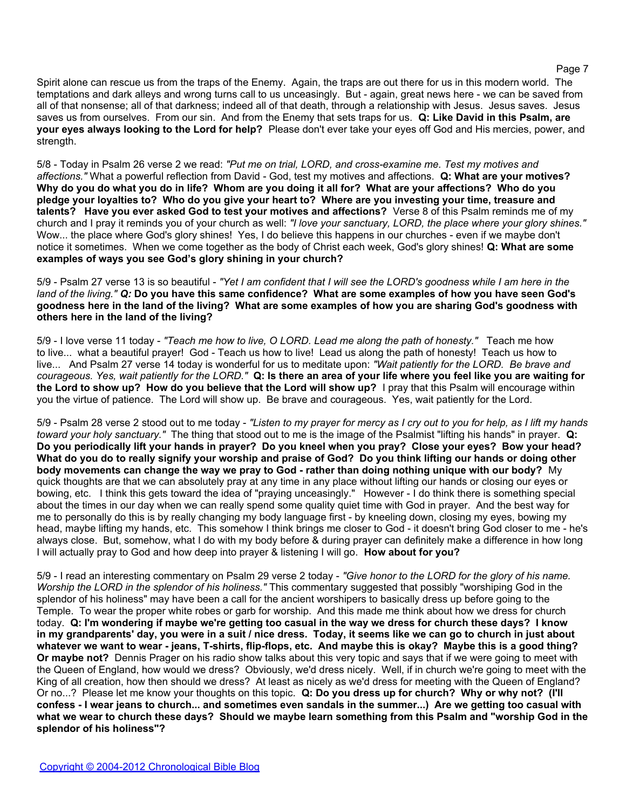Spirit alone can rescue us from the traps of the Enemy. Again, the traps are out there for us in this modern world. The temptations and dark alleys and wrong turns call to us unceasingly. But - again, great news here - we can be saved from all of that nonsense; all of that darkness; indeed all of that death, through a relationship with Jesus. Jesus saves. Jesus saves us from ourselves. From our sin. And from the Enemy that sets traps for us. **Q: Like David in this Psalm, are your eyes always looking to the Lord for help?** Please don't ever take your eyes off God and His mercies, power, and strength.

5/8 - Today in Psalm 26 verse 2 we read: *"Put me on trial, LORD, and cross-examine me. Test my motives and affections."* What a powerful reflection from David - God, test my motives and affections. **Q: What are your motives? Why do you do what you do in life? Whom are you doing it all for? What are your affections? Who do you pledge your loyalties to? Who do you give your heart to? Where are you investing your time, treasure and talents? Have you ever asked God to test your motives and affections?** Verse 8 of this Psalm reminds me of my church and I pray it reminds you of your church as well: *"I love your sanctuary, LORD, the place where your glory shines."* Wow... the place where God's glory shines! Yes, I do believe this happens in our churches - even if we maybe don't notice it sometimes. When we come together as the body of Christ each week, God's glory shines! **Q: What are some examples of ways you see God's glory shining in your church?**

5/9 - Psalm 27 verse 13 is so beautiful - *"Yet I am confident that I will see the LORD's goodness while I am here in the land of the living." Q:* **Do you have this same confidence? What are some examples of how you have seen God's goodness here in the land of the living? What are some examples of how you are sharing God's goodness with others here in the land of the living?**

5/9 - I love verse 11 today - *"Teach me how to live, O LORD. Lead me along the path of honesty."* Teach me how to live... what a beautiful prayer! God - Teach us how to live! Lead us along the path of honesty! Teach us how to live... And Psalm 27 verse 14 today is wonderful for us to meditate upon: *"Wait patiently for the LORD. Be brave and courageous. Yes, wait patiently for the LORD."* **Q: Is there an area of your life where you feel like you are waiting for the Lord to show up? How do you believe that the Lord will show up?** I pray that this Psalm will encourage within you the virtue of patience. The Lord will show up. Be brave and courageous. Yes, wait patiently for the Lord.

5/9 - Psalm 28 verse 2 stood out to me today - *"Listen to my prayer for mercy as I cry out to you for help, as I lift my hands toward your holy sanctuary."* The thing that stood out to me is the image of the Psalmist "lifting his hands" in prayer. **Q: Do you periodically lift your hands in prayer? Do you kneel when you pray? Close your eyes? Bow your head? What do you do to really signify your worship and praise of God? Do you think lifting our hands or doing other body movements can change the way we pray to God - rather than doing nothing unique with our body?** My quick thoughts are that we can absolutely pray at any time in any place without lifting our hands or closing our eyes or bowing, etc. I think this gets toward the idea of "praying unceasingly." However - I do think there is something special about the times in our day when we can really spend some quality quiet time with God in prayer. And the best way for me to personally do this is by really changing my body language first - by kneeling down, closing my eyes, bowing my head, maybe lifting my hands, etc. This somehow I think brings me closer to God - it doesn't bring God closer to me - he's always close. But, somehow, what I do with my body before & during prayer can definitely make a difference in how long I will actually pray to God and how deep into prayer & listening I will go. **How about for you?**

5/9 - I read an interesting commentary on Psalm 29 verse 2 today - *"Give honor to the LORD for the glory of his name. Worship the LORD in the splendor of his holiness."* This commentary suggested that possibly "worshiping God in the splendor of his holiness" may have been a call for the ancient worshipers to basically dress up before going to the Temple. To wear the proper white robes or garb for worship. And this made me think about how we dress for church today. **Q: I'm wondering if maybe we're getting too casual in the way we dress for church these days? I know in my grandparents' day, you were in a suit / nice dress. Today, it seems like we can go to church in just about whatever we want to wear - jeans, T-shirts, flip-flops, etc. And maybe this is okay? Maybe this is a good thing? Or maybe not?** Dennis Prager on his radio show talks about this very topic and says that if we were going to meet with the Queen of England, how would we dress? Obviously, we'd dress nicely. Well, if in church we're going to meet with the King of all creation, how then should we dress? At least as nicely as we'd dress for meeting with the Queen of England? Or no...? Please let me know your thoughts on this topic. **Q: Do you dress up for church? Why or why not? (I'll confess - I wear jeans to church... and sometimes even sandals in the summer...) Are we getting too casual with what we wear to church these days? Should we maybe learn something from this Psalm and "worship God in the splendor of his holiness"?**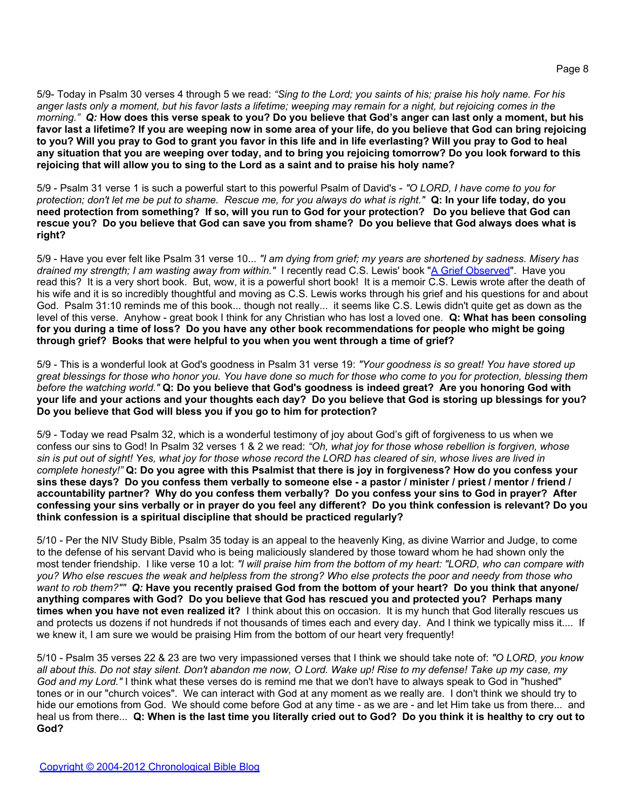5/9- Today in Psalm 30 verses 4 through 5 we read: *"Sing to the Lord; you saints of his; praise his holy name. For his anger lasts only a moment, but his favor lasts a lifetime; weeping may remain for a night, but rejoicing comes in the morning." Q:* **How does this verse speak to you? Do you believe that God's anger can last only a moment, but his favor last a lifetime? If you are weeping now in some area of your life, do you believe that God can bring rejoicing to you? Will you pray to God to grant you favor in this life and in life everlasting? Will you pray to God to heal any situation that you are weeping over today, and to bring you rejoicing tomorrow? Do you look forward to this rejoicing that will allow you to sing to the Lord as a saint and to praise his holy name?**

5/9 - Psalm 31 verse 1 is such a powerful start to this powerful Psalm of David's - *"O LORD, I have come to you for protection; don't let me be put to shame. Rescue me, for you always do what is right."* **Q: In your life today, do you need protection from something? If so, will you run to God for your protection? Do you believe that God can rescue you? Do you believe that God can save you from shame? Do you believe that God always does what is right?**

5/9 - Have you ever felt like Psalm 31 verse 10... *"I am dying from grief; my years are shortened by sadness. Misery has*  drained my strength; I am wasting away from within." I recently read C.S. Lewis' book "[A](http://blank/) [Grief](http://blank/) [Observed](http://blank/)". Have you read this? It is a very short book. But, wow, it is a powerful short book! It is a memoir C.S. Lewis wrote after the death of his wife and it is so incredibly thoughtful and moving as C.S. Lewis works through his grief and his questions for and about God. Psalm 31:10 reminds me of this book... though not really... it seems like C.S. Lewis didn't quite get as down as the level of this verse. Anyhow - great book I think for any Christian who has lost a loved one. **Q: What has been consoling for you during a time of loss? Do you have any other book recommendations for people who might be going through grief? Books that were helpful to you when you went through a time of grief?**

5/9 - This is a wonderful look at God's goodness in Psalm 31 verse 19: *"Your goodness is so great! You have stored up great blessings for those who honor you. You have done so much for those who come to you for protection, blessing them before the watching world."* **Q: Do you believe that God's goodness is indeed great? Are you honoring God with your life and your actions and your thoughts each day? Do you believe that God is storing up blessings for you? Do you believe that God will bless you if you go to him for protection?**

5/9 - Today we read Psalm 32, which is a wonderful testimony of joy about God's gift of forgiveness to us when we confess our sins to God! In Psalm 32 verses 1 & 2 we read: *"Oh, what joy for those whose rebellion is forgiven, whose sin is put out of sight! Yes, what joy for those whose record the LORD has cleared of sin, whose lives are lived in complete honesty!"* **Q: Do you agree with this Psalmist that there is joy in forgiveness? How do you confess your sins these days? Do you confess them verbally to someone else - a pastor / minister / priest / mentor / friend / accountability partner? Why do you confess them verbally? Do you confess your sins to God in prayer? After confessing your sins verbally or in prayer do you feel any different? Do you think confession is relevant? Do you think confession is a spiritual discipline that should be practiced regularly?**

5/10 - Per the NIV Study Bible, Psalm 35 today is an appeal to the heavenly King, as divine Warrior and Judge, to come to the defense of his servant David who is being maliciously slandered by those toward whom he had shown only the most tender friendship. I like verse 10 a lot: *"I will praise him from the bottom of my heart: "LORD, who can compare with you? Who else rescues the weak and helpless from the strong? Who else protects the poor and needy from those who want to rob them?"" Q:* **Have you recently praised God from the bottom of your heart? Do you think that anyone/ anything compares with God? Do you believe that God has rescued you and protected you? Perhaps many times when you have not even realized it?** I think about this on occasion. It is my hunch that God literally rescues us and protects us dozens if not hundreds if not thousands of times each and every day. And I think we typically miss it.... If we knew it, I am sure we would be praising Him from the bottom of our heart very frequently!

5/10 - Psalm 35 verses 22 & 23 are two very impassioned verses that I think we should take note of: *"O LORD, you know all about this. Do not stay silent. Don't abandon me now, O Lord. Wake up! Rise to my defense! Take up my case, my God and my Lord."* I think what these verses do is remind me that we don't have to always speak to God in "hushed" tones or in our "church voices". We can interact with God at any moment as we really are. I don't think we should try to hide our emotions from God. We should come before God at any time - as we are - and let Him take us from there... and heal us from there... **Q: When is the last time you literally cried out to God? Do you think it is healthy to cry out to God?**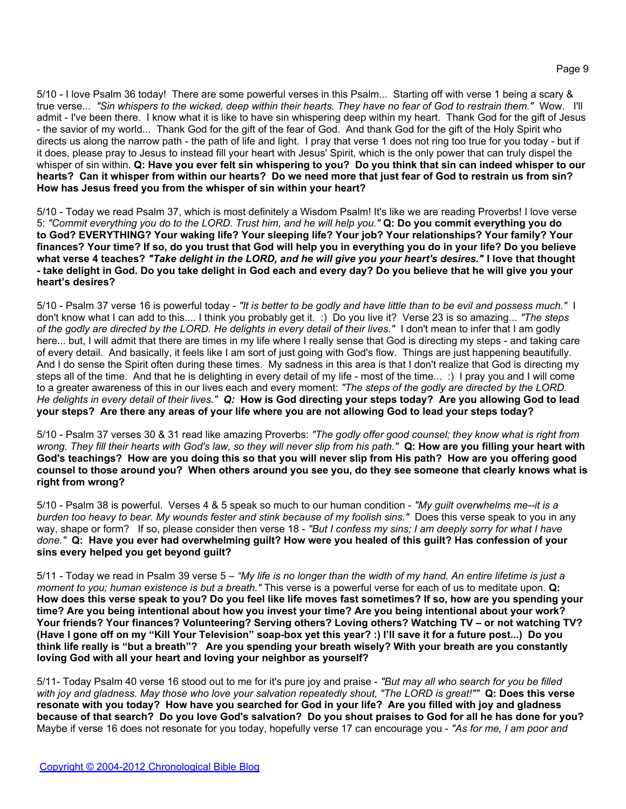5/10 - I love Psalm 36 today! There are some powerful verses in this Psalm... Starting off with verse 1 being a scary & true verse... *"Sin whispers to the wicked, deep within their hearts. They have no fear of God to restrain them."* Wow. I'll admit - I've been there. I know what it is like to have sin whispering deep within my heart. Thank God for the gift of Jesus - the savior of my world... Thank God for the gift of the fear of God. And thank God for the gift of the Holy Spirit who directs us along the narrow path - the path of life and light. I pray that verse 1 does not ring too true for you today - but if it does, please pray to Jesus to instead fill your heart with Jesus' Spirit, which is the only power that can truly dispel the whisper of sin within. **Q: Have you ever felt sin whispering to you? Do you think that sin can indeed whisper to our hearts? Can it whisper from within our hearts? Do we need more that just fear of God to restrain us from sin? How has Jesus freed you from the whisper of sin within your heart?**

5/10 - Today we read Psalm 37, which is most definitely a Wisdom Psalm! It's like we are reading Proverbs! I love verse 5: *"Commit everything you do to the LORD. Trust him, and he will help you."* **Q: Do you commit everything you do to God? EVERYTHING? Your waking life? Your sleeping life? Your job? Your relationships? Your family? Your finances? Your time? If so, do you trust that God will help you in everything you do in your life? Do you believe what verse 4 teaches?** *"Take delight in the LORD, and he will give you your heart's desires."* **I love that thought - take delight in God. Do you take delight in God each and every day? Do you believe that he will give you your heart's desires?**

5/10 - Psalm 37 verse 16 is powerful today - *"It is better to be godly and have little than to be evil and possess much."* I don't know what I can add to this.... I think you probably get it. :) Do you live it? Verse 23 is so amazing... *"The steps of the godly are directed by the LORD. He delights in every detail of their lives."* I don't mean to infer that I am godly here... but, I will admit that there are times in my life where I really sense that God is directing my steps - and taking care of every detail. And basically, it feels like I am sort of just going with God's flow. Things are just happening beautifully. And I do sense the Spirit often during these times. My sadness in this area is that I don't realize that God is directing my steps all of the time. And that he is delighting in every detail of my life - most of the time... :) I pray you and I will come to a greater awareness of this in our lives each and every moment: *"The steps of the godly are directed by the LORD. He delights in every detail of their lives." Q:* **How is God directing your steps today? Are you allowing God to lead your steps? Are there any areas of your life where you are not allowing God to lead your steps today?**

5/10 - Psalm 37 verses 30 & 31 read like amazing Proverbs: *"The godly offer good counsel; they know what is right from wrong. They fill their hearts with God's law, so they will never slip from his path."* **Q: How are you filling your heart with God's teachings? How are you doing this so that you will never slip from His path? How are you offering good counsel to those around you? When others around you see you, do they see someone that clearly knows what is right from wrong?**

5/10 - Psalm 38 is powerful. Verses 4 & 5 speak so much to our human condition - *"My guilt overwhelms me--it is a burden too heavy to bear. My wounds fester and stink because of my foolish sins."* Does this verse speak to you in any way, shape or form? If so, please consider then verse 18 - "But I confess my sins; I am deeply sorry for what I have *done."* **Q: Have you ever had overwhelming guilt? How were you healed of this guilt? Has confession of your sins every helped you get beyond guilt?**

5/11 - Today we read in Psalm 39 verse 5 – *"My life is no longer than the width of my hand. An entire lifetime is just a moment to you; human existence is but a breath."* This verse is a powerful verse for each of us to meditate upon. **Q: How does this verse speak to you? Do you feel like life moves fast sometimes? If so, how are you spending your time? Are you being intentional about how you invest your time? Are you being intentional about your work? Your friends? Your finances? Volunteering? Serving others? Loving others? Watching TV – or not watching TV? (Have I gone off on my "Kill Your Television" soap-box yet this year? :) I'll save it for a future post...) Do you think life really is "but a breath"? Are you spending your breath wisely? With your breath are you constantly loving God with all your heart and loving your neighbor as yourself?**

5/11- Today Psalm 40 verse 16 stood out to me for it's pure joy and praise - *"But may all who search for you be filled with joy and gladness. May those who love your salvation repeatedly shout, "The LORD is great!""* **Q: Does this verse resonate with you today? How have you searched for God in your life? Are you filled with joy and gladness because of that search? Do you love God's salvation? Do you shout praises to God for all he has done for you?**  Maybe if verse 16 does not resonate for you today, hopefully verse 17 can encourage you - *"As for me, I am poor and*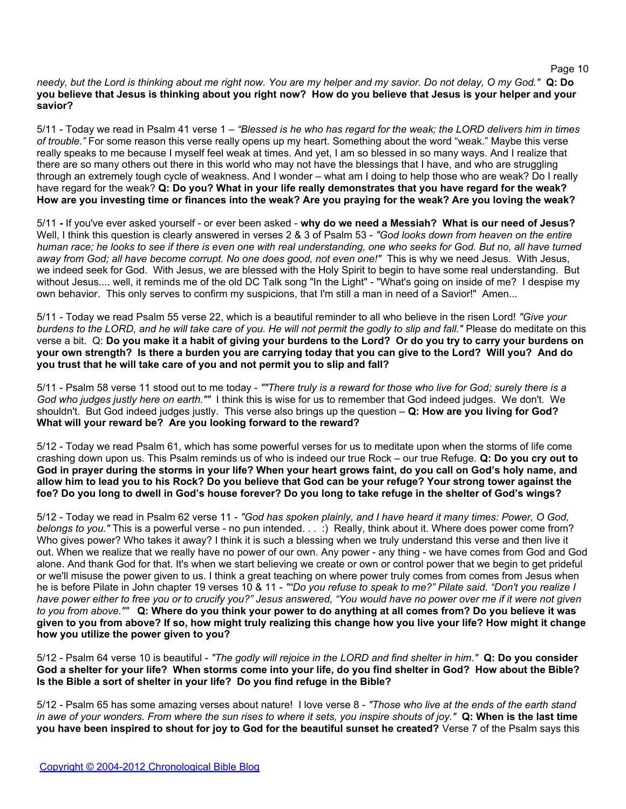*needy, but the Lord is thinking about me right now. You are my helper and my savior. Do not delay, O my God."* **Q: Do you believe that Jesus is thinking about you right now? How do you believe that Jesus is your helper and your savior?**

5/11 - Today we read in Psalm 41 verse 1 – *"Blessed is he who has regard for the weak; the LORD delivers him in times of trouble."* For some reason this verse really opens up my heart. Something about the word "weak." Maybe this verse really speaks to me because I myself feel weak at times. And yet, I am so blessed in so many ways. And I realize that there are so many others out there in this world who may not have the blessings that I have, and who are struggling through an extremely tough cycle of weakness. And I wonder – what am I doing to help those who are weak? Do I really have regard for the weak? **Q: Do you? What in your life really demonstrates that you have regard for the weak? How are you investing time or finances into the weak? Are you praying for the weak? Are you loving the weak?**

5/11 **-** If you've ever asked yourself - or ever been asked - **why do we need a Messiah? What is our need of Jesus?** Well, I think this question is clearly answered in verses 2 & 3 of Psalm 53 - *"God looks down from heaven on the entire human race; he looks to see if there is even one with real understanding, one who seeks for God. But no, all have turned away from God; all have become corrupt. No one does good, not even one!"* This is why we need Jesus. With Jesus, we indeed seek for God. With Jesus, we are blessed with the Holy Spirit to begin to have some real understanding. But without Jesus.... well, it reminds me of the old DC Talk song "In the Light" - "What's going on inside of me? I despise my own behavior. This only serves to confirm my suspicions, that I'm still a man in need of a Savior!" Amen...

5/11 - Today we read Psalm 55 verse 22, which is a beautiful reminder to all who believe in the risen Lord! *"Give your burdens to the LORD, and he will take care of you. He will not permit the godly to slip and fall."* Please do meditate on this verse a bit. Q: **Do you make it a habit of giving your burdens to the Lord? Or do you try to carry your burdens on your own strength? Is there a burden you are carrying today that you can give to the Lord? Will you? And do you trust that he will take care of you and not permit you to slip and fall?**

5/11 - Psalm 58 verse 11 stood out to me today - *""There truly is a reward for those who live for God; surely there is a God who judges justly here on earth.""* I think this is wise for us to remember that God indeed judges. We don't. We shouldn't. But God indeed judges justly. This verse also brings up the question – **Q: How are you living for God? What will your reward be? Are you looking forward to the reward?**

5/12 - Today we read Psalm 61, which has some powerful verses for us to meditate upon when the storms of life come crashing down upon us. This Psalm reminds us of who is indeed our true Rock – our true Refuge. **Q: Do you cry out to God in prayer during the storms in your life? When your heart grows faint, do you call on God's holy name, and allow him to lead you to his Rock? Do you believe that God can be your refuge? Your strong tower against the foe? Do you long to dwell in God's house forever? Do you long to take refuge in the shelter of God's wings?**

5/12 - Today we read in Psalm 62 verse 11 - *"God has spoken plainly, and I have heard it many times: Power, O God, belongs to you."* This is a powerful verse - no pun intended. . . :) Really, think about it. Where does power come from? Who gives power? Who takes it away? I think it is such a blessing when we truly understand this verse and then live it out. When we realize that we really have no power of our own. Any power - any thing - we have comes from God and God alone. And thank God for that. It's when we start believing we create or own or control power that we begin to get prideful or we'll misuse the power given to us. I think a great teaching on where power truly comes from comes from Jesus when he is before Pilate in John chapter 19 verses 10 & 11 - *""Do you refuse to speak to me?" Pilate said. "Don't you realize I have power either to free you or to crucify you?" Jesus answered, "You would have no power over me if it were not given to you from above.""* **Q: Where do you think your power to do anything at all comes from? Do you believe it was given to you from above? If so, how might truly realizing this change how you live your life? How might it change how you utilize the power given to you?**

5/12 - Psalm 64 verse 10 is beautiful - *"The godly will rejoice in the LORD and find shelter in him."* **Q: Do you consider God a shelter for your life? When storms come into your life, do you find shelter in God? How about the Bible? Is the Bible a sort of shelter in your life? Do you find refuge in the Bible?**

5/12 - Psalm 65 has some amazing verses about nature! I love verse 8 - *"Those who live at the ends of the earth stand in awe of your wonders. From where the sun rises to where it sets, you inspire shouts of joy."* **Q: When is the last time you have been inspired to shout for joy to God for the beautiful sunset he created?** Verse 7 of the Psalm says this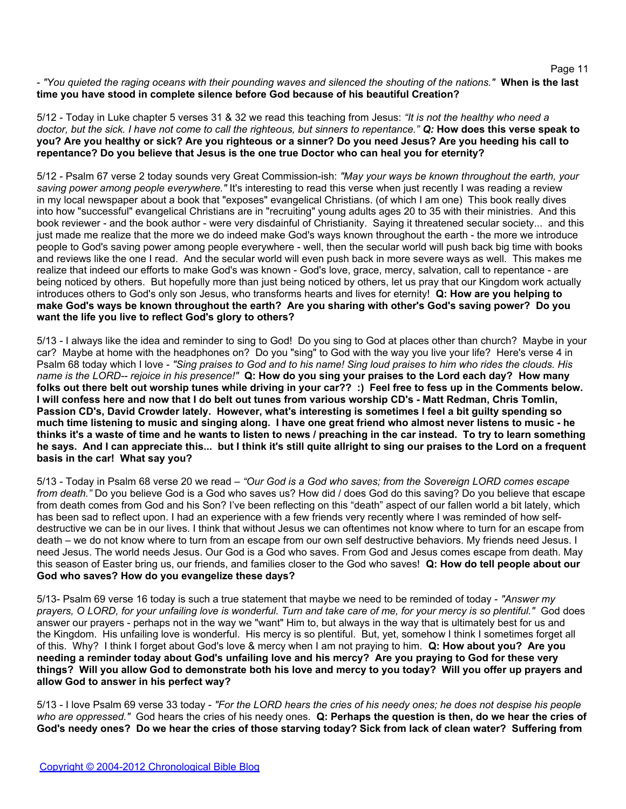- *"You quieted the raging oceans with their pounding waves and silenced the shouting of the nations."* **When is the last time you have stood in complete silence before God because of his beautiful Creation?**

5/12 - Today in Luke chapter 5 verses 31 & 32 we read this teaching from Jesus: *"It is not the healthy who need a doctor, but the sick. I have not come to call the righteous, but sinners to repentance." Q:* **How does this verse speak to you? Are you healthy or sick? Are you righteous or a sinner? Do you need Jesus? Are you heeding his call to repentance? Do you believe that Jesus is the one true Doctor who can heal you for eternity?**

5/12 - Psalm 67 verse 2 today sounds very Great Commission-ish: *"May your ways be known throughout the earth, your saving power among people everywhere."* It's interesting to read this verse when just recently I was reading a review in my local newspaper about a book that "exposes" evangelical Christians. (of which I am one) This book really dives into how "successful" evangelical Christians are in "recruiting" young adults ages 20 to 35 with their ministries. And this book reviewer - and the book author - were very disdainful of Christianity. Saying it threatened secular society... and this just made me realize that the more we do indeed make God's ways known throughout the earth - the more we introduce people to God's saving power among people everywhere - well, then the secular world will push back big time with books and reviews like the one I read. And the secular world will even push back in more severe ways as well. This makes me realize that indeed our efforts to make God's was known - God's love, grace, mercy, salvation, call to repentance - are being noticed by others. But hopefully more than just being noticed by others, let us pray that our Kingdom work actually introduces others to God's only son Jesus, who transforms hearts and lives for eternity! **Q: How are you helping to make God's ways be known throughout the earth? Are you sharing with other's God's saving power? Do you want the life you live to reflect God's glory to others?**

5/13 - I always like the idea and reminder to sing to God! Do you sing to God at places other than church? Maybe in your car? Maybe at home with the headphones on? Do you "sing" to God with the way you live your life? Here's verse 4 in Psalm 68 today which I love - *"Sing praises to God and to his name! Sing loud praises to him who rides the clouds. His name is the LORD-- rejoice in his presence!"* **Q: How do you sing your praises to the Lord each day? How many folks out there belt out worship tunes while driving in your car?? :) Feel free to fess up in the Comments below. I will confess here and now that I do belt out tunes from various worship CD's - Matt Redman, Chris Tomlin, Passion CD's, David Crowder lately. However, what's interesting is sometimes I feel a bit guilty spending so much time listening to music and singing along. I have one great friend who almost never listens to music - he thinks it's a waste of time and he wants to listen to news / preaching in the car instead. To try to learn something he says. And I can appreciate this... but I think it's still quite allright to sing our praises to the Lord on a frequent basis in the car! What say you?**

5/13 - Today in Psalm 68 verse 20 we read – *"Our God is a God who saves; from the Sovereign LORD comes escape from death."* Do you believe God is a God who saves us? How did / does God do this saving? Do you believe that escape from death comes from God and his Son? I've been reflecting on this "death" aspect of our fallen world a bit lately, which has been sad to reflect upon. I had an experience with a few friends very recently where I was reminded of how selfdestructive we can be in our lives. I think that without Jesus we can oftentimes not know where to turn for an escape from death – we do not know where to turn from an escape from our own self destructive behaviors. My friends need Jesus. I need Jesus. The world needs Jesus. Our God is a God who saves. From God and Jesus comes escape from death. May this season of Easter bring us, our friends, and families closer to the God who saves! **Q: How do tell people about our God who saves? How do you evangelize these days?**

5/13- Psalm 69 verse 16 today is such a true statement that maybe we need to be reminded of today - *"Answer my prayers, O LORD, for your unfailing love is wonderful. Turn and take care of me, for your mercy is so plentiful."* God does answer our prayers - perhaps not in the way we "want" Him to, but always in the way that is ultimately best for us and the Kingdom. His unfailing love is wonderful. His mercy is so plentiful. But, yet, somehow I think I sometimes forget all of this. Why? I think I forget about God's love & mercy when I am not praying to him. **Q: How about you? Are you needing a reminder today about God's unfailing love and his mercy? Are you praying to God for these very things? Will you allow God to demonstrate both his love and mercy to you today? Will you offer up prayers and allow God to answer in his perfect way?**

5/13 - I love Psalm 69 verse 33 today - *"For the LORD hears the cries of his needy ones; he does not despise his people who are oppressed."* God hears the cries of his needy ones. **Q: Perhaps the question is then, do we hear the cries of God's needy ones? Do we hear the cries of those starving today? Sick from lack of clean water? Suffering from**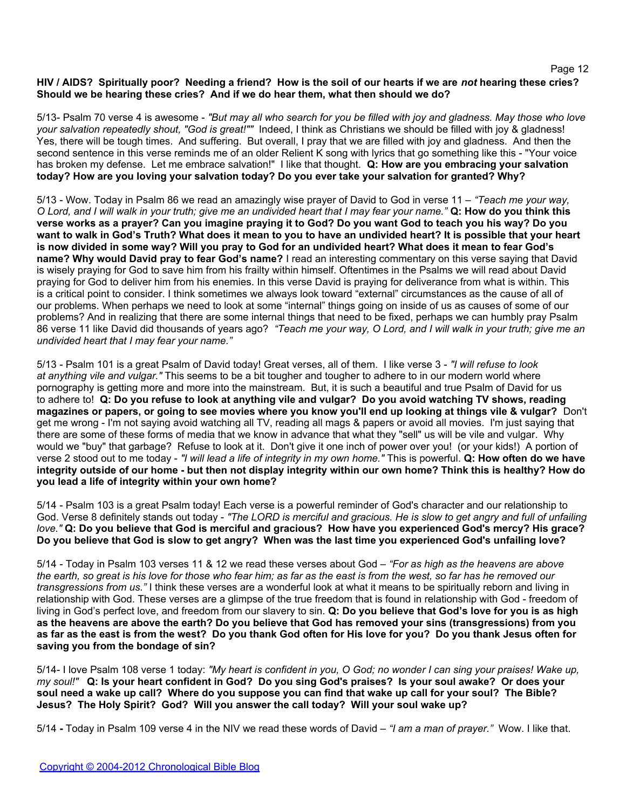## **HIV / AIDS? Spiritually poor? Needing a friend? How is the soil of our hearts if we are** *not* **hearing these cries? Should we be hearing these cries? And if we do hear them, what then should we do?**

5/13- Psalm 70 verse 4 is awesome - *"But may all who search for you be filled with joy and gladness. May those who love your salvation repeatedly shout, "God is great!""* Indeed, I think as Christians we should be filled with joy & gladness! Yes, there will be tough times. And suffering. But overall, I pray that we are filled with joy and gladness. And then the second sentence in this verse reminds me of an older Relient K song with lyrics that go something like this - "Your voice has broken my defense. Let me embrace salvation!" I like that thought. **Q: How are you embracing your salvation today? How are you loving your salvation today? Do you ever take your salvation for granted? Why?**

5/13 - Wow. Today in Psalm 86 we read an amazingly wise prayer of David to God in verse 11 – *"Teach me your way, O Lord, and I will walk in your truth; give me an undivided heart that I may fear your name."* **Q: How do you think this verse works as a prayer? Can you imagine praying it to God? Do you want God to teach you his way? Do you want to walk in God's Truth? What does it mean to you to have an undivided heart? It is possible that your heart is now divided in some way? Will you pray to God for an undivided heart? What does it mean to fear God's name? Why would David pray to fear God's name?** I read an interesting commentary on this verse saying that David is wisely praying for God to save him from his frailty within himself. Oftentimes in the Psalms we will read about David praying for God to deliver him from his enemies. In this verse David is praying for deliverance from what is within. This is a critical point to consider. I think sometimes we always look toward "external" circumstances as the cause of all of our problems. When perhaps we need to look at some "internal" things going on inside of us as causes of some of our problems? And in realizing that there are some internal things that need to be fixed, perhaps we can humbly pray Psalm 86 verse 11 like David did thousands of years ago? *"Teach me your way, O Lord, and I will walk in your truth; give me an undivided heart that I may fear your name."*

5/13 - Psalm 101 is a great Psalm of David today! Great verses, all of them. I like verse 3 - *"I will refuse to look at anything vile and vulgar."* This seems to be a bit tougher and tougher to adhere to in our modern world where pornography is getting more and more into the mainstream. But, it is such a beautiful and true Psalm of David for us to adhere to! **Q: Do you refuse to look at anything vile and vulgar? Do you avoid watching TV shows, reading magazines or papers, or going to see movies where you know you'll end up looking at things vile & vulgar?** Don't get me wrong - I'm not saying avoid watching all TV, reading all mags & papers or avoid all movies. I'm just saying that there are some of these forms of media that we know in advance that what they "sell" us will be vile and vulgar. Why would we "buy" that garbage? Refuse to look at it. Don't give it one inch of power over you! (or your kids!) A portion of verse 2 stood out to me today - *"I will lead a life of integrity in my own home."* This is powerful. **Q: How often do we have integrity outside of our home - but then not display integrity within our own home? Think this is healthy? How do you lead a life of integrity within your own home?**

5/14 - Psalm 103 is a great Psalm today! Each verse is a powerful reminder of God's character and our relationship to God. Verse 8 definitely stands out today - *"The LORD is merciful and gracious. He is slow to get angry and full of unfailing love."* **Q: Do you believe that God is merciful and gracious? How have you experienced God's mercy? His grace? Do you believe that God is slow to get angry? When was the last time you experienced God's unfailing love?**

5/14 - Today in Psalm 103 verses 11 & 12 we read these verses about God – *"For as high as the heavens are above the earth, so great is his love for those who fear him; as far as the east is from the west, so far has he removed our transgressions from us."* I think these verses are a wonderful look at what it means to be spiritually reborn and living in relationship with God. These verses are a glimpse of the true freedom that is found in relationship with God - freedom of living in God's perfect love, and freedom from our slavery to sin. **Q: Do you believe that God's love for you is as high as the heavens are above the earth? Do you believe that God has removed your sins (transgressions) from you as far as the east is from the west? Do you thank God often for His love for you? Do you thank Jesus often for saving you from the bondage of sin?**

5/14- I love Psalm 108 verse 1 today: *"My heart is confident in you, O God; no wonder I can sing your praises! Wake up, my soul!"* **Q: Is your heart confident in God? Do you sing God's praises? Is your soul awake? Or does your soul need a wake up call? Where do you suppose you can find that wake up call for your soul? The Bible? Jesus? The Holy Spirit? God? Will you answer the call today? Will your soul wake up?**

5/14 **-** Today in Psalm 109 verse 4 in the NIV we read these words of David – *"I am a man of prayer."* Wow. I like that.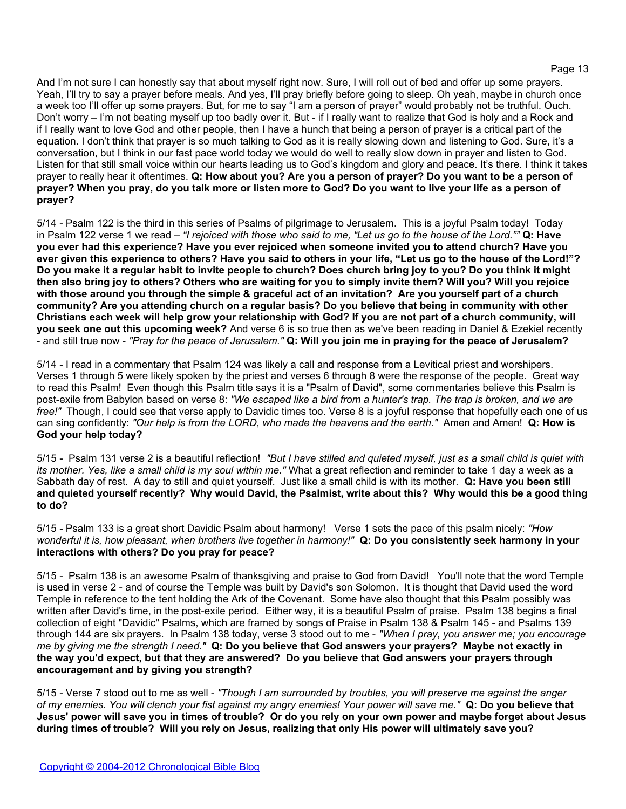And I'm not sure I can honestly say that about myself right now. Sure, I will roll out of bed and offer up some prayers. Yeah, I'll try to say a prayer before meals. And yes, I'll pray briefly before going to sleep. Oh yeah, maybe in church once a week too I'll offer up some prayers. But, for me to say "I am a person of prayer" would probably not be truthful. Ouch. Don't worry – I'm not beating myself up too badly over it. But - if I really want to realize that God is holy and a Rock and if I really want to love God and other people, then I have a hunch that being a person of prayer is a critical part of the equation. I don't think that prayer is so much talking to God as it is really slowing down and listening to God. Sure, it's a conversation, but I think in our fast pace world today we would do well to really slow down in prayer and listen to God. Listen for that still small voice within our hearts leading us to God's kingdom and glory and peace. It's there. I think it takes prayer to really hear it oftentimes. **Q: How about you? Are you a person of prayer? Do you want to be a person of prayer? When you pray, do you talk more or listen more to God? Do you want to live your life as a person of prayer?**

5/14 - Psalm 122 is the third in this series of Psalms of pilgrimage to Jerusalem. This is a joyful Psalm today! Today in Psalm 122 verse 1 we read – *"I rejoiced with those who said to me, "Let us go to the house of the Lord.""* **Q: Have you ever had this experience? Have you ever rejoiced when someone invited you to attend church? Have you ever given this experience to others? Have you said to others in your life, "Let us go to the house of the Lord!"? Do you make it a regular habit to invite people to church? Does church bring joy to you? Do you think it might then also bring joy to others? Others who are waiting for you to simply invite them? Will you? Will you rejoice with those around you through the simple & graceful act of an invitation? Are you yourself part of a church community? Are you attending church on a regular basis? Do you believe that being in community with other Christians each week will help grow your relationship with God? If you are not part of a church community, will you seek one out this upcoming week?** And verse 6 is so true then as we've been reading in Daniel & Ezekiel recently - and still true now - *"Pray for the peace of Jerusalem."* **Q: Will you join me in praying for the peace of Jerusalem?**

5/14 - I read in a commentary that Psalm 124 was likely a call and response from a Levitical priest and worshipers. Verses 1 through 5 were likely spoken by the priest and verses 6 through 8 were the response of the people. Great way to read this Psalm! Even though this Psalm title says it is a "Psalm of David", some commentaries believe this Psalm is post-exile from Babylon based on verse 8: *"We escaped like a bird from a hunter's trap. The trap is broken, and we are free!"* Though, I could see that verse apply to Davidic times too. Verse 8 is a joyful response that hopefully each one of us can sing confidently: *"Our help is from the LORD, who made the heavens and the earth."* Amen and Amen! **Q: How is God your help today?**

5/15 - Psalm 131 verse 2 is a beautiful reflection! *"But I have stilled and quieted myself, just as a small child is quiet with its mother. Yes, like a small child is my soul within me."* What a great reflection and reminder to take 1 day a week as a Sabbath day of rest. A day to still and quiet yourself. Just like a small child is with its mother. **Q: Have you been still and quieted yourself recently? Why would David, the Psalmist, write about this? Why would this be a good thing to do?**

5/15 - Psalm 133 is a great short Davidic Psalm about harmony! Verse 1 sets the pace of this psalm nicely: *"How wonderful it is, how pleasant, when brothers live together in harmony!"* **Q: Do you consistently seek harmony in your interactions with others? Do you pray for peace?**

5/15 - Psalm 138 is an awesome Psalm of thanksgiving and praise to God from David! You'll note that the word Temple is used in verse 2 - and of course the Temple was built by David's son Solomon. It is thought that David used the word Temple in reference to the tent holding the Ark of the Covenant. Some have also thought that this Psalm possibly was written after David's time, in the post-exile period. Either way, it is a beautiful Psalm of praise. Psalm 138 begins a final collection of eight "Davidic" Psalms, which are framed by songs of Praise in Psalm 138 & Psalm 145 - and Psalms 139 through 144 are six prayers. In Psalm 138 today, verse 3 stood out to me - *"When I pray, you answer me; you encourage me by giving me the strength I need."* **Q: Do you believe that God answers your prayers? Maybe not exactly in the way you'd expect, but that they are answered? Do you believe that God answers your prayers through encouragement and by giving you strength?**

5/15 - Verse 7 stood out to me as well - *"Though I am surrounded by troubles, you will preserve me against the anger of my enemies. You will clench your fist against my angry enemies! Your power will save me."* **Q: Do you believe that Jesus' power will save you in times of trouble? Or do you rely on your own power and maybe forget about Jesus during times of trouble? Will you rely on Jesus, realizing that only His power will ultimately save you?**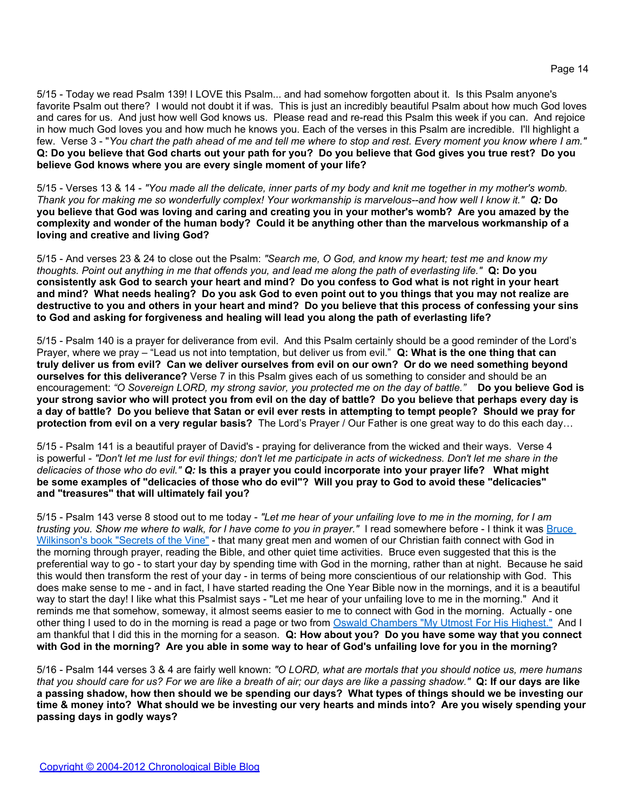5/15 - Today we read Psalm 139! I LOVE this Psalm... and had somehow forgotten about it. Is this Psalm anyone's favorite Psalm out there? I would not doubt it if was. This is just an incredibly beautiful Psalm about how much God loves and cares for us. And just how well God knows us. Please read and re-read this Psalm this week if you can. And rejoice in how much God loves you and how much he knows you. Each of the verses in this Psalm are incredible. I'll highlight a few. Verse 3 - "*You chart the path ahead of me and tell me where to stop and rest. Every moment you know where I am."* **Q: Do you believe that God charts out your path for you? Do you believe that God gives you true rest? Do you believe God knows where you are every single moment of your life?**

5/15 - Verses 13 & 14 - *"You made all the delicate, inner parts of my body and knit me together in my mother's womb. Thank you for making me so wonderfully complex! Your workmanship is marvelous--and how well I know it." Q:* **Do you believe that God was loving and caring and creating you in your mother's womb? Are you amazed by the complexity and wonder of the human body? Could it be anything other than the marvelous workmanship of a loving and creative and living God?**

5/15 - And verses 23 & 24 to close out the Psalm: *"Search me, O God, and know my heart; test me and know my thoughts. Point out anything in me that offends you, and lead me along the path of everlasting life."* **Q: Do you consistently ask God to search your heart and mind? Do you confess to God what is not right in your heart and mind? What needs healing? Do you ask God to even point out to you things that you may not realize are destructive to you and others in your heart and mind? Do you believe that this process of confessing your sins to God and asking for forgiveness and healing will lead you along the path of everlasting life?**

5/15 - Psalm 140 is a prayer for deliverance from evil. And this Psalm certainly should be a good reminder of the Lord's Prayer, where we pray – "Lead us not into temptation, but deliver us from evil." **Q: What is the one thing that can truly deliver us from evil? Can we deliver ourselves from evil on our own? Or do we need something beyond ourselves for this deliverance?** Verse 7 in this Psalm gives each of us something to consider and should be an encouragement: *"O Sovereign LORD, my strong savior, you protected me on the day of battle."* **Do you believe God is your strong savior who will protect you from evil on the day of battle? Do you believe that perhaps every day is a day of battle? Do you believe that Satan or evil ever rests in attempting to tempt people? Should we pray for protection from evil on a very regular basis?** The Lord's Prayer / Our Father is one great way to do this each day…

5/15 - Psalm 141 is a beautiful prayer of David's - praying for deliverance from the wicked and their ways. Verse 4 is powerful - *"Don't let me lust for evil things; don't let me participate in acts of wickedness. Don't let me share in the delicacies of those who do evil." Q:* **Is this a prayer you could incorporate into your prayer life? What might be some examples of "delicacies of those who do evil"? Will you pray to God to avoid these "delicacies" and "treasures" that will ultimately fail you?**

5/15 - Psalm 143 verse 8 stood out to me today - *"Let me hear of your unfailing love to me in the morning, for I am trusting you. Show me where to walk, for I have come to you in prayer."* I read somewhere before - I think it was [Bruce](http://www.amazon.com/gp/product/1576739759/) [Wilkinson's](http://www.amazon.com/gp/product/1576739759/) [book "Secrets](http://www.amazon.com/gp/product/1576739759/) [of](http://www.amazon.com/gp/product/1576739759/) [the](http://www.amazon.com/gp/product/1576739759/) [Vine"](http://www.amazon.com/gp/product/1576739759/) - that many great men and women of our Christian faith connect with God in the morning through prayer, reading the Bible, and other quiet time activities. Bruce even suggested that this is the preferential way to go - to start your day by spending time with God in the morning, rather than at night. Because he said this would then transform the rest of your day - in terms of being more conscientious of our relationship with God. This does make sense to me - and in fact, I have started reading the One Year Bible now in the mornings, and it is a beautiful way to start the day! I like what this Psalmist says - "Let me hear of your unfailing love to me in the morning." And it reminds me that somehow, someway, it almost seems easier to me to connect with God in the morning. Actually - one other thing I used to do in the [m](http://www.amazon.com/gp/product/1586608290/)orning is read a page or two from [Oswald](http://www.amazon.com/gp/product/1586608290/) [Chambers "My](http://www.amazon.com/gp/product/1586608290/) [Utmost](http://www.amazon.com/gp/product/1586608290/) [For](http://www.amazon.com/gp/product/1586608290/) [His](http://www.amazon.com/gp/product/1586608290/) [Highest."](http://www.amazon.com/gp/product/1586608290/) And I am thankful that I did this in the morning for a season. **Q: How about you? Do you have some way that you connect with God in the morning? Are you able in some way to hear of God's unfailing love for you in the morning?**

5/16 - Psalm 144 verses 3 & 4 are fairly well known: *"O LORD, what are mortals that you should notice us, mere humans that you should care for us? For we are like a breath of air; our days are like a passing shadow."* **Q: If our days are like a passing shadow, how then should we be spending our days? What types of things should we be investing our time & money into? What should we be investing our very hearts and minds into? Are you wisely spending your passing days in godly ways?**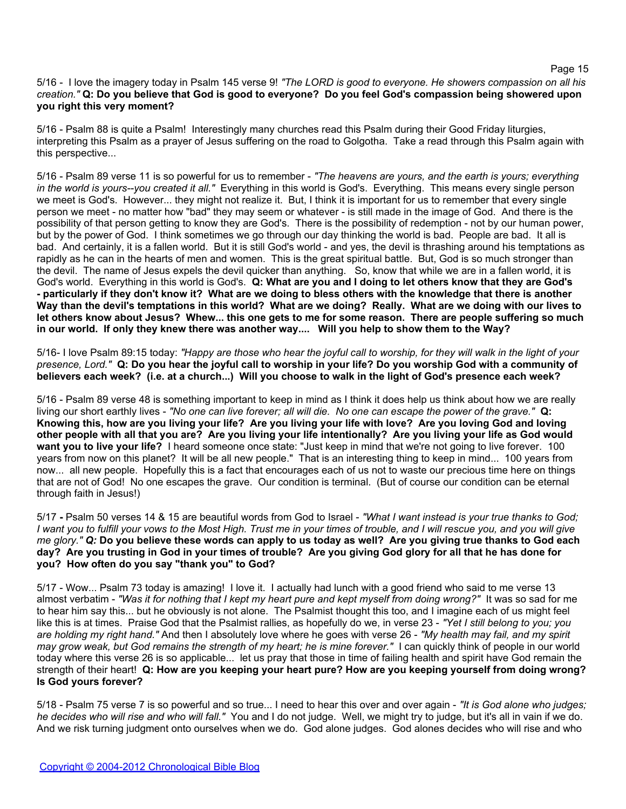#### 5/16 - I love the imagery today in Psalm 145 verse 9! *"The LORD is good to everyone. He showers compassion on all his creation."* **Q: Do you believe that God is good to everyone? Do you feel God's compassion being showered upon you right this very moment?**

5/16 - Psalm 88 is quite a Psalm! Interestingly many churches read this Psalm during their Good Friday liturgies, interpreting this Psalm as a prayer of Jesus suffering on the road to Golgotha. Take a read through this Psalm again with this perspective...

5/16 - Psalm 89 verse 11 is so powerful for us to remember - *"The heavens are yours, and the earth is yours; everything in the world is yours--you created it all."* Everything in this world is God's. Everything. This means every single person we meet is God's. However... they might not realize it. But, I think it is important for us to remember that every single person we meet - no matter how "bad" they may seem or whatever - is still made in the image of God. And there is the possibility of that person getting to know they are God's. There is the possibility of redemption - not by our human power, but by the power of God. I think sometimes we go through our day thinking the world is bad. People are bad. It all is bad. And certainly, it is a fallen world. But it is still God's world - and yes, the devil is thrashing around his temptations as rapidly as he can in the hearts of men and women. This is the great spiritual battle. But, God is so much stronger than the devil. The name of Jesus expels the devil quicker than anything. So, know that while we are in a fallen world, it is God's world. Everything in this world is God's. **Q: What are you and I doing to let others know that they are God's - particularly if they don't know it? What are we doing to bless others with the knowledge that there is another Way than the devil's temptations in this world? What are we doing? Really. What are we doing with our lives to let others know about Jesus? Whew... this one gets to me for some reason. There are people suffering so much in our world. If only they knew there was another way.... Will you help to show them to the Way?**

5/16- I love Psalm 89:15 today: *"Happy are those who hear the joyful call to worship, for they will walk in the light of your presence, Lord."* **Q: Do you hear the joyful call to worship in your life? Do you worship God with a community of believers each week? (i.e. at a church...) Will you choose to walk in the light of God's presence each week?**

5/16 - Psalm 89 verse 48 is something important to keep in mind as I think it does help us think about how we are really living our short earthly lives - *"No one can live forever; all will die. No one can escape the power of the grave."* **Q: Knowing this, how are you living your life? Are you living your life with love? Are you loving God and loving other people with all that you are? Are you living your life intentionally? Are you living your life as God would want you to live your life?** I heard someone once state: "Just keep in mind that we're not going to live forever. 100 years from now on this planet? It will be all new people." That is an interesting thing to keep in mind... 100 years from now... all new people. Hopefully this is a fact that encourages each of us not to waste our precious time here on things that are not of God! No one escapes the grave. Our condition is terminal. (But of course our condition can be eternal through faith in Jesus!)

5/17 **-** Psalm 50 verses 14 & 15 are beautiful words from God to Israel - *"What I want instead is your true thanks to God; I want you to fulfill your vows to the Most High. Trust me in your times of trouble, and I will rescue you, and you will give me glory." Q:* **Do you believe these words can apply to us today as well? Are you giving true thanks to God each day? Are you trusting in God in your times of trouble? Are you giving God glory for all that he has done for you? How often do you say "thank you" to God?**

5/17 - Wow... Psalm 73 today is amazing! I love it. I actually had lunch with a good friend who said to me verse 13 almost verbatim - *"Was it for nothing that I kept my heart pure and kept myself from doing wrong?"* It was so sad for me to hear him say this... but he obviously is not alone. The Psalmist thought this too, and I imagine each of us might feel like this is at times. Praise God that the Psalmist rallies, as hopefully do we, in verse 23 - *"Yet I still belong to you; you are holding my right hand."* And then I absolutely love where he goes with verse 26 - *"My health may fail, and my spirit may grow weak, but God remains the strength of my heart; he is mine forever."* I can quickly think of people in our world today where this verse 26 is so applicable... let us pray that those in time of failing health and spirit have God remain the strength of their heart! **Q: How are you keeping your heart pure? How are you keeping yourself from doing wrong? Is God yours forever?**

5/18 - Psalm 75 verse 7 is so powerful and so true... I need to hear this over and over again - *"It is God alone who judges; he decides who will rise and who will fall."* You and I do not judge. Well, we might try to judge, but it's all in vain if we do. And we risk turning judgment onto ourselves when we do. God alone judges. God alones decides who will rise and who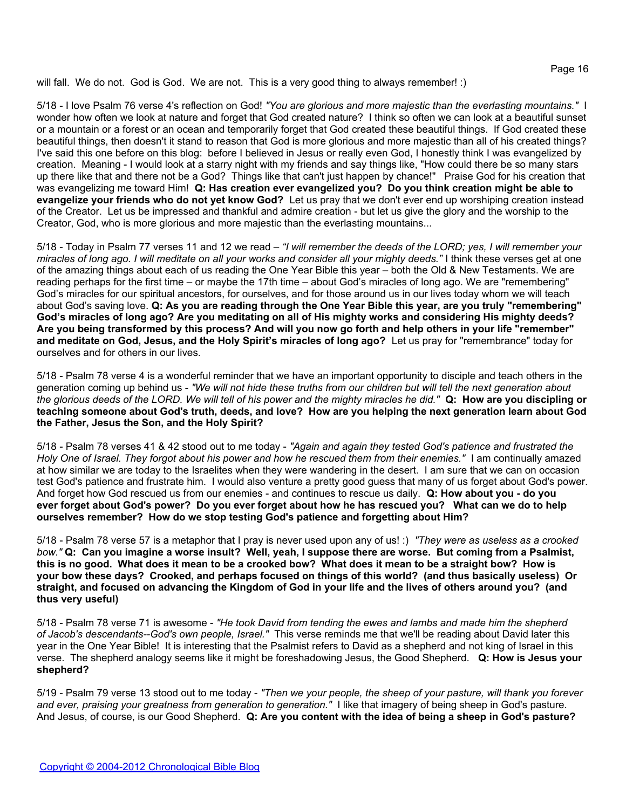will fall. We do not. God is God. We are not. This is a very good thing to always remember! :)

5/18 - I love Psalm 76 verse 4's reflection on God! *"You are glorious and more majestic than the everlasting mountains."* I wonder how often we look at nature and forget that God created nature? I think so often we can look at a beautiful sunset or a mountain or a forest or an ocean and temporarily forget that God created these beautiful things. If God created these beautiful things, then doesn't it stand to reason that God is more glorious and more majestic than all of his created things? I've said this one before on this blog: before I believed in Jesus or really even God, I honestly think I was evangelized by creation. Meaning - I would look at a starry night with my friends and say things like, "How could there be so many stars up there like that and there not be a God? Things like that can't just happen by chance!" Praise God for his creation that was evangelizing me toward Him! **Q: Has creation ever evangelized you? Do you think creation might be able to evangelize your friends who do not yet know God?** Let us pray that we don't ever end up worshiping creation instead of the Creator. Let us be impressed and thankful and admire creation - but let us give the glory and the worship to the Creator, God, who is more glorious and more majestic than the everlasting mountains...

5/18 - Today in Psalm 77 verses 11 and 12 we read – *"I will remember the deeds of the LORD; yes, I will remember your miracles of long ago. I will meditate on all your works and consider all your mighty deeds."* I think these verses get at one of the amazing things about each of us reading the One Year Bible this year – both the Old & New Testaments. We are reading perhaps for the first time – or maybe the 17th time – about God's miracles of long ago. We are "remembering" God's miracles for our spiritual ancestors, for ourselves, and for those around us in our lives today whom we will teach about God's saving love. **Q: As you are reading through the One Year Bible this year, are you truly "remembering" God's miracles of long ago? Are you meditating on all of His mighty works and considering His mighty deeds? Are you being transformed by this process? And will you now go forth and help others in your life "remember" and meditate on God, Jesus, and the Holy Spirit's miracles of long ago?** Let us pray for "remembrance" today for ourselves and for others in our lives.

5/18 - Psalm 78 verse 4 is a wonderful reminder that we have an important opportunity to disciple and teach others in the generation coming up behind us - *"We will not hide these truths from our children but will tell the next generation about the glorious deeds of the LORD. We will tell of his power and the mighty miracles he did."* **Q: How are you discipling or teaching someone about God's truth, deeds, and love? How are you helping the next generation learn about God the Father, Jesus the Son, and the Holy Spirit?** 

5/18 - Psalm 78 verses 41 & 42 stood out to me today - *"Again and again they tested God's patience and frustrated the Holy One of Israel. They forgot about his power and how he rescued them from their enemies."* I am continually amazed at how similar we are today to the Israelites when they were wandering in the desert. I am sure that we can on occasion test God's patience and frustrate him. I would also venture a pretty good guess that many of us forget about God's power. And forget how God rescued us from our enemies - and continues to rescue us daily. **Q: How about you - do you ever forget about God's power? Do you ever forget about how he has rescued you? What can we do to help ourselves remember? How do we stop testing God's patience and forgetting about Him?**

5/18 - Psalm 78 verse 57 is a metaphor that I pray is never used upon any of us! :) *"They were as useless as a crooked bow."* **Q:****Can you imagine a worse insult? Well, yeah, I suppose there are worse. But coming from a Psalmist, this is no good. What does it mean to be a crooked bow? What does it mean to be a straight bow? How is your bow these days? Crooked, and perhaps focused on things of this world? (and thus basically useless) Or straight, and focused on advancing the Kingdom of God in your life and the lives of others around you? (and thus very useful)**

5/18 - Psalm 78 verse 71 is awesome - *"He took David from tending the ewes and lambs and made him the shepherd of Jacob's descendants--God's own people, Israel."* This verse reminds me that we'll be reading about David later this year in the One Year Bible! It is interesting that the Psalmist refers to David as a shepherd and not king of Israel in this verse. The shepherd analogy seems like it might be foreshadowing Jesus, the Good Shepherd. **Q: How is Jesus your shepherd?**

5/19 - Psalm 79 verse 13 stood out to me today - *"Then we your people, the sheep of your pasture, will thank you forever and ever, praising your greatness from generation to generation."* I like that imagery of being sheep in God's pasture. And Jesus, of course, is our Good Shepherd. **Q: Are you content with the idea of being a sheep in God's pasture?**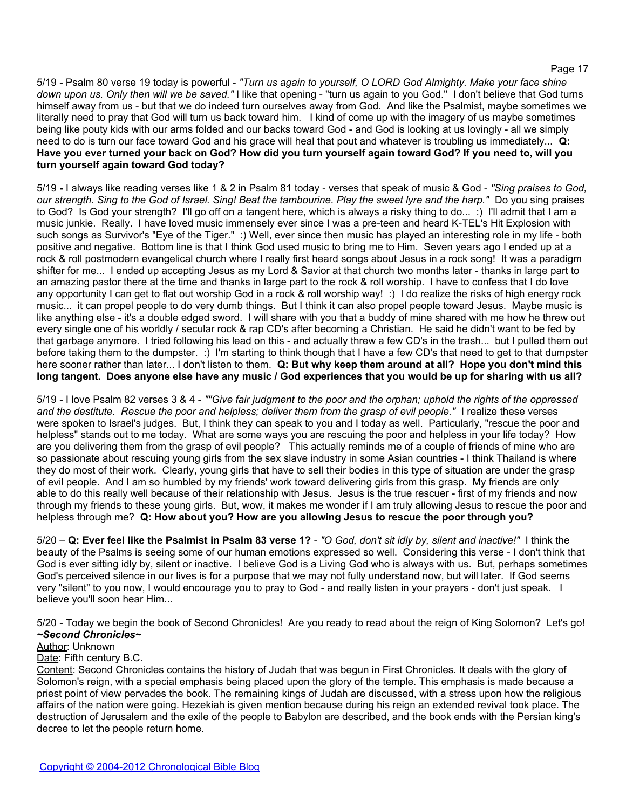5/19 - Psalm 80 verse 19 today is powerful - *"Turn us again to yourself, O LORD God Almighty. Make your face shine down upon us. Only then will we be saved."* I like that opening - "turn us again to you God." I don't believe that God turns himself away from us - but that we do indeed turn ourselves away from God. And like the Psalmist, maybe sometimes we literally need to pray that God will turn us back toward him. I kind of come up with the imagery of us maybe sometimes being like pouty kids with our arms folded and our backs toward God - and God is looking at us lovingly - all we simply need to do is turn our face toward God and his grace will heal that pout and whatever is troubling us immediately... **Q: Have you ever turned your back on God? How did you turn yourself again toward God? If you need to, will you turn yourself again toward God today?** 

5/19 **-** I always like reading verses like 1 & 2 in Psalm 81 today - verses that speak of music & God - *"Sing praises to God, our strength. Sing to the God of Israel. Sing! Beat the tambourine. Play the sweet lyre and the harp."* Do you sing praises to God? Is God your strength? I'll go off on a tangent here, which is always a risky thing to do... :) I'll admit that I am a music junkie. Really. I have loved music immensely ever since I was a pre-teen and heard K-TEL's Hit Explosion with such songs as Survivor's "Eye of the Tiger." :) Well, ever since then music has played an interesting role in my life - both positive and negative. Bottom line is that I think God used music to bring me to Him. Seven years ago I ended up at a rock & roll postmodern evangelical church where I really first heard songs about Jesus in a rock song! It was a paradigm shifter for me... I ended up accepting Jesus as my Lord & Savior at that church two months later - thanks in large part to an amazing pastor there at the time and thanks in large part to the rock & roll worship. I have to confess that I do love any opportunity I can get to flat out worship God in a rock & roll worship way! :) I do realize the risks of high energy rock music... it can propel people to do very dumb things. But I think it can also propel people toward Jesus. Maybe music is like anything else - it's a double edged sword. I will share with you that a buddy of mine shared with me how he threw out every single one of his worldly / secular rock & rap CD's after becoming a Christian. He said he didn't want to be fed by that garbage anymore. I tried following his lead on this - and actually threw a few CD's in the trash... but I pulled them out before taking them to the dumpster. :) I'm starting to think though that I have a few CD's that need to get to that dumpster here sooner rather than later... I don't listen to them. **Q: But why keep them around at all? Hope you don't mind this long tangent. Does anyone else have any music / God experiences that you would be up for sharing with us all?**

5/19 - I love Psalm 82 verses 3 & 4 - *""Give fair judgment to the poor and the orphan; uphold the rights of the oppressed and the destitute. Rescue the poor and helpless; deliver them from the grasp of evil people."* I realize these verses were spoken to Israel's judges. But, I think they can speak to you and I today as well. Particularly, "rescue the poor and helpless" stands out to me today. What are some ways you are rescuing the poor and helpless in your life today? How are you delivering them from the grasp of evil people? This actually reminds me of a couple of friends of mine who are so passionate about rescuing young girls from the sex slave industry in some Asian countries - I think Thailand is where they do most of their work. Clearly, young girls that have to sell their bodies in this type of situation are under the grasp of evil people. And I am so humbled by my friends' work toward delivering girls from this grasp. My friends are only able to do this really well because of their relationship with Jesus. Jesus is the true rescuer - first of my friends and now through my friends to these young girls. But, wow, it makes me wonder if I am truly allowing Jesus to rescue the poor and helpless through me? **Q: How about you? How are you allowing Jesus to rescue the poor through you?**

5/20 – **Q: Ever feel like the Psalmist in Psalm 83 verse 1?** - *"O God, don't sit idly by, silent and inactive!"* I think the beauty of the Psalms is seeing some of our human emotions expressed so well. Considering this verse - I don't think that God is ever sitting idly by, silent or inactive. I believe God is a Living God who is always with us. But, perhaps sometimes God's perceived silence in our lives is for a purpose that we may not fully understand now, but will later. If God seems very "silent" to you now, I would encourage you to pray to God - and really listen in your prayers - don't just speak. I believe you'll soon hear Him...

5/20 - Today we begin the book of Second Chronicles! Are you ready to read about the reign of King Solomon? Let's go! *~Second Chronicles~*

# Author: Unknown

Date: Fifth century B.C.

Content: Second Chronicles contains the history of Judah that was begun in First Chronicles. It deals with the glory of Solomon's reign, with a special emphasis being placed upon the glory of the temple. This emphasis is made because a priest point of view pervades the book. The remaining kings of Judah are discussed, with a stress upon how the religious affairs of the nation were going. Hezekiah is given mention because during his reign an extended revival took place. The destruction of Jerusalem and the exile of the people to Babylon are described, and the book ends with the Persian king's decree to let the people return home.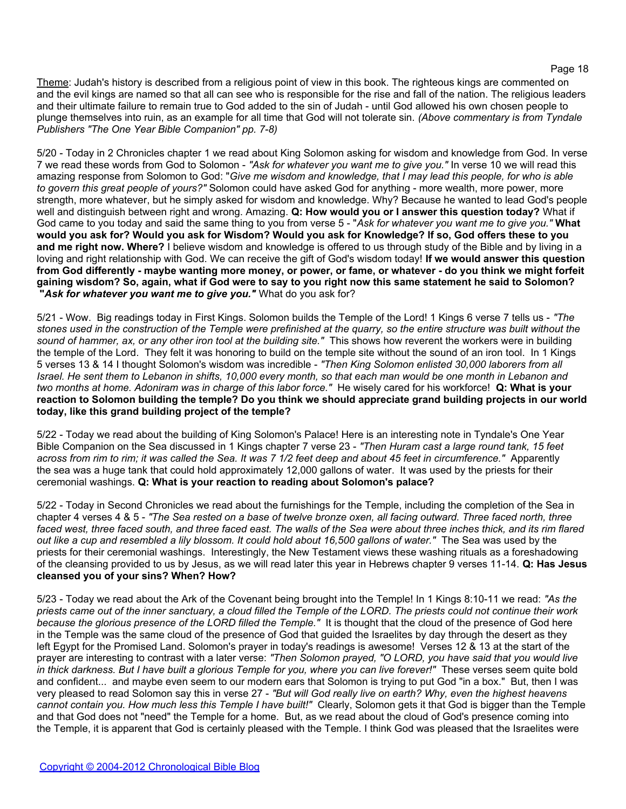Theme: Judah's history is described from a religious point of view in this book. The righteous kings are commented on and the evil kings are named so that all can see who is responsible for the rise and fall of the nation. The religious leaders and their ultimate failure to remain true to God added to the sin of Judah - until God allowed his own chosen people to plunge themselves into ruin, as an example for all time that God will not tolerate sin. *(Above commentary is from Tyndale Publishers "The One Year Bible Companion" pp. 7-8)*

5/20 - Today in 2 Chronicles chapter 1 we read about King Solomon asking for wisdom and knowledge from God. In verse 7 we read these words from God to Solomon - *"Ask for whatever you want me to give you."* In verse 10 we will read this amazing response from Solomon to God: "*Give me wisdom and knowledge, that I may lead this people, for who is able to govern this great people of yours?"* Solomon could have asked God for anything - more wealth, more power, more strength, more whatever, but he simply asked for wisdom and knowledge. Why? Because he wanted to lead God's people well and distinguish between right and wrong. Amazing. **Q: How would you or I answer this question today?** What if God came to you today and said the same thing to you from verse 5 - "*Ask for whatever you want me to give you."* **What would you ask for? Would you ask for Wisdom? Would you ask for Knowledge? If so, God offers these to you and me right now. Where?** I believe wisdom and knowledge is offered to us through study of the Bible and by living in a loving and right relationship with God. We can receive the gift of God's wisdom today! **If we would answer this question from God differently - maybe wanting more money, or power, or fame, or whatever - do you think we might forfeit gaining wisdom? So, again, what if God were to say to you right now this same statement he said to Solomon? "***Ask for whatever you want me to give you."* What do you ask for?

5/21 - Wow. Big readings today in First Kings. Solomon builds the Temple of the Lord! 1 Kings 6 verse 7 tells us - *"The stones used in the construction of the Temple were prefinished at the quarry, so the entire structure was built without the sound of hammer, ax, or any other iron tool at the building site."* This shows how reverent the workers were in building the temple of the Lord. They felt it was honoring to build on the temple site without the sound of an iron tool. In 1 Kings 5 verses 13 & 14 I thought Solomon's wisdom was incredible - *"Then King Solomon enlisted 30,000 laborers from all Israel. He sent them to Lebanon in shifts, 10,000 every month, so that each man would be one month in Lebanon and two months at home. Adoniram was in charge of this labor force."* He wisely cared for his workforce! **Q: What is your reaction to Solomon building the temple? Do you think we should appreciate grand building projects in our world today, like this grand building project of the temple?**

5/22 - Today we read about the building of King Solomon's Palace! Here is an interesting note in Tyndale's One Year Bible Companion on the Sea discussed in 1 Kings chapter 7 verse 23 - *"Then Huram cast a large round tank, 15 feet across from rim to rim; it was called the Sea. It was 7 1/2 feet deep and about 45 feet in circumference."* Apparently the sea was a huge tank that could hold approximately 12,000 gallons of water. It was used by the priests for their ceremonial washings. **Q: What is your reaction to reading about Solomon's palace?**

5/22 - Today in Second Chronicles we read about the furnishings for the Temple, including the completion of the Sea in chapter 4 verses 4 & 5 - *"The Sea rested on a base of twelve bronze oxen, all facing outward. Three faced north, three*  faced west, three faced south, and three faced east. The walls of the Sea were about three inches thick, and its rim flared *out like a cup and resembled a lily blossom. It could hold about 16,500 gallons of water."* The Sea was used by the priests for their ceremonial washings. Interestingly, the New Testament views these washing rituals as a foreshadowing of the cleansing provided to us by Jesus, as we will read later this year in Hebrews chapter 9 verses 11-14. **Q: Has Jesus cleansed you of your sins? When? How?**

5/23 - Today we read about the Ark of the Covenant being brought into the Temple! In 1 Kings 8:10-11 we read: *"As the priests came out of the inner sanctuary, a cloud filled the Temple of the LORD. The priests could not continue their work because the glorious presence of the LORD filled the Temple."* It is thought that the cloud of the presence of God here in the Temple was the same cloud of the presence of God that guided the Israelites by day through the desert as they left Egypt for the Promised Land. Solomon's prayer in today's readings is awesome! Verses 12 & 13 at the start of the prayer are interesting to contrast with a later verse: *"Then Solomon prayed, "O LORD, you have said that you would live in thick darkness. But I have built a glorious Temple for you, where you can live forever!"* These verses seem quite bold and confident... and maybe even seem to our modern ears that Solomon is trying to put God "in a box." But, then I was very pleased to read Solomon say this in verse 27 - *"But will God really live on earth? Why, even the highest heavens cannot contain you. How much less this Temple I have built!"* Clearly, Solomon gets it that God is bigger than the Temple and that God does not "need" the Temple for a home. But, as we read about the cloud of God's presence coming into the Temple, it is apparent that God is certainly pleased with the Temple. I think God was pleased that the Israelites were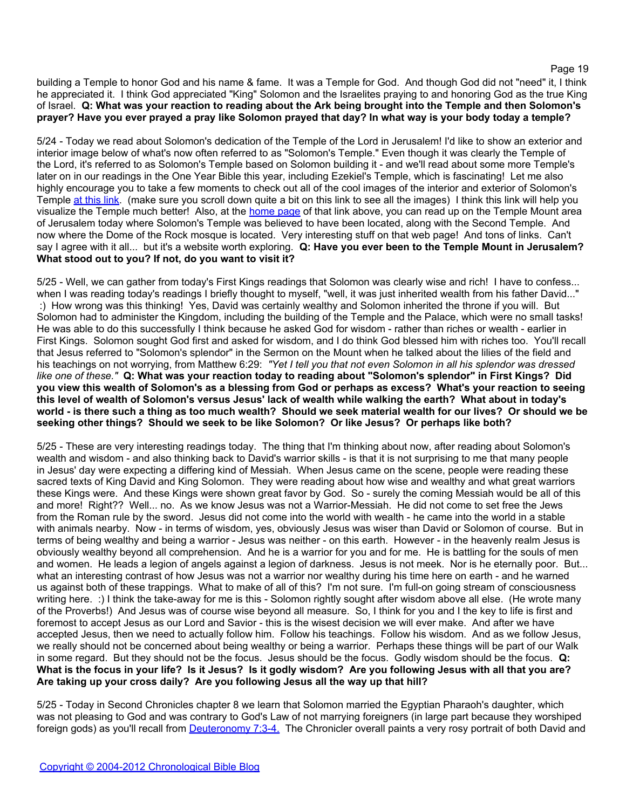building a Temple to honor God and his name & fame. It was a Temple for God. And though God did not "need" it, I think he appreciated it. I think God appreciated "King" Solomon and the Israelites praying to and honoring God as the true King of Israel. **Q: What was your reaction to reading about the Ark being brought into the Temple and then Solomon's prayer? Have you ever prayed a pray like Solomon prayed that day? In what way is your body today a temple?**

5/24 - Today we read about Solomon's dedication of the Temple of the Lord in Jerusalem! I'd like to show an exterior and interior image below of what's now often referred to as "Solomon's Temple." Even though it was clearly the Temple of the Lord, it's referred to as Solomon's Temple based on Solomon building it - and we'll read about some more Temple's later on in our readings in the One Year Bible this year, including Ezekiel's Temple, which is fascinating! Let me also highly encourage you to take a few moments to check out all of the cool images of the interior and exterior of Solomon's Templ[e](http://www.templemount.org/solomon.html) [at](http://www.templemount.org/solomon.html) [this](http://www.templemount.org/solomon.html) [link.](http://www.templemount.org/solomon.html) (make sure you scroll down quite a bit on this link to see all the images) I think this link will help you visualize the Temple much better! Also, at the [home](http://www.templemount.org/) [page](http://www.templemount.org/) of that link above, you can read up on the Temple Mount area of Jerusalem today where Solomon's Temple was believed to have been located, along with the Second Temple. And now where the Dome of the Rock mosque is located. Very interesting stuff on that web page! And tons of links. Can't say I agree with it all... but it's a website worth exploring. **Q: Have you ever been to the Temple Mount in Jerusalem? What stood out to you? If not, do you want to visit it?**

5/25 - Well, we can gather from today's First Kings readings that Solomon was clearly wise and rich! I have to confess... when I was reading today's readings I briefly thought to myself. "well, it was just inherited wealth from his father David..." :) How wrong was this thinking! Yes, David was certainly wealthy and Solomon inherited the throne if you will. But Solomon had to administer the Kingdom, including the building of the Temple and the Palace, which were no small tasks! He was able to do this successfully I think because he asked God for wisdom - rather than riches or wealth - earlier in First Kings. Solomon sought God first and asked for wisdom, and I do think God blessed him with riches too. You'll recall that Jesus referred to "Solomon's splendor" in the Sermon on the Mount when he talked about the lilies of the field and his teachings on not worrying, from Matthew 6:29: *"Yet I tell you that not even Solomon in all his splendor was dressed like one of these."* **Q: What was your reaction today to reading about "Solomon's splendor" in First Kings? Did you view this wealth of Solomon's as a blessing from God or perhaps as excess? What's your reaction to seeing this level of wealth of Solomon's versus Jesus' lack of wealth while walking the earth? What about in today's world - is there such a thing as too much wealth? Should we seek material wealth for our lives? Or should we be seeking other things? Should we seek to be like Solomon? Or like Jesus? Or perhaps like both?**

5/25 - These are very interesting readings today. The thing that I'm thinking about now, after reading about Solomon's wealth and wisdom - and also thinking back to David's warrior skills - is that it is not surprising to me that many people in Jesus' day were expecting a differing kind of Messiah. When Jesus came on the scene, people were reading these sacred texts of King David and King Solomon. They were reading about how wise and wealthy and what great warriors these Kings were. And these Kings were shown great favor by God. So - surely the coming Messiah would be all of this and more! Right?? Well... no. As we know Jesus was not a Warrior-Messiah. He did not come to set free the Jews from the Roman rule by the sword. Jesus did not come into the world with wealth - he came into the world in a stable with animals nearby. Now - in terms of wisdom, yes, obviously Jesus was wiser than David or Solomon of course. But in terms of being wealthy and being a warrior - Jesus was neither - on this earth. However - in the heavenly realm Jesus is obviously wealthy beyond all comprehension. And he is a warrior for you and for me. He is battling for the souls of men and women. He leads a legion of angels against a legion of darkness. Jesus is not meek. Nor is he eternally poor. But... what an interesting contrast of how Jesus was not a warrior nor wealthy during his time here on earth - and he warned us against both of these trappings. What to make of all of this? I'm not sure. I'm full-on going stream of consciousness writing here. :) I think the take-away for me is this - Solomon rightly sought after wisdom above all else. (He wrote many of the Proverbs!) And Jesus was of course wise beyond all measure. So, I think for you and I the key to life is first and foremost to accept Jesus as our Lord and Savior - this is the wisest decision we will ever make. And after we have accepted Jesus, then we need to actually follow him. Follow his teachings. Follow his wisdom. And as we follow Jesus, we really should not be concerned about being wealthy or being a warrior. Perhaps these things will be part of our Walk in some regard. But they should not be the focus. Jesus should be the focus. Godly wisdom should be the focus. **Q: What is the focus in your life? Is it Jesus? Is it godly wisdom? Are you following Jesus with all that you are? Are taking up your cross daily? Are you following Jesus all the way up that hill?**

5/25 - Today in Second Chronicles chapter 8 we learn that Solomon married the Egyptian Pharaoh's daughter, which was not pleasing to God and was contrary to God's Law of not marrying foreigners (in large part because they worshiped foreign gods) as you'll recall fro[m](http://www.biblegateway.com/passage/?search=deuteronomy+7:3-4) [Deuteronomy 7:3-4.](http://www.biblegateway.com/passage/?search=deuteronomy+7:3-4) The Chronicler overall paints a very rosy portrait of both David and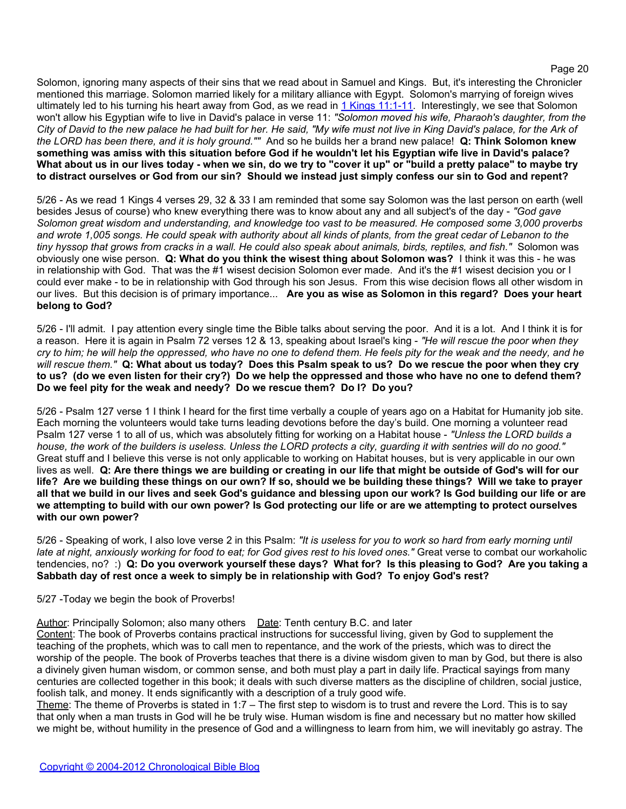Solomon, ignoring many aspects of their sins that we read about in Samuel and Kings. But, it's interesting the Chronicler mentioned this marriage. Solomon married likely for a military alliance with Egypt. Solomon's marrying of foreign wives ultimately led to his turning his heart away from God, as we read in  $1$  Kings 11:1-11. Interestingly, we see that Solomon won't allow his Egyptian wife to live in David's palace in verse 11: *"Solomon moved his wife, Pharaoh's daughter, from the City of David to the new palace he had built for her. He said, "My wife must not live in King David's palace, for the Ark of the LORD has been there, and it is holy ground.""* And so he builds her a brand new palace! **Q: Think Solomon knew something was amiss with this situation before God if he wouldn't let his Egyptian wife live in David's palace? What about us in our lives today - when we sin, do we try to "cover it up" or "build a pretty palace" to maybe try to distract ourselves or God from our sin? Should we instead just simply confess our sin to God and repent?**

5/26 - As we read 1 Kings 4 verses 29, 32 & 33 I am reminded that some say Solomon was the last person on earth (well besides Jesus of course) who knew everything there was to know about any and all subject's of the day - *"God gave Solomon great wisdom and understanding, and knowledge too vast to be measured. He composed some 3,000 proverbs and wrote 1,005 songs. He could speak with authority about all kinds of plants, from the great cedar of Lebanon to the tiny hyssop that grows from cracks in a wall. He could also speak about animals, birds, reptiles, and fish."* Solomon was obviously one wise person. **Q: What do you think the wisest thing about Solomon was?** I think it was this - he was in relationship with God. That was the #1 wisest decision Solomon ever made. And it's the #1 wisest decision you or I could ever make - to be in relationship with God through his son Jesus. From this wise decision flows all other wisdom in our lives. But this decision is of primary importance... **Are you as wise as Solomon in this regard? Does your heart belong to God?**

5/26 - I'll admit. I pay attention every single time the Bible talks about serving the poor. And it is a lot. And I think it is for a reason. Here it is again in Psalm 72 verses 12 & 13, speaking about Israel's king - *"He will rescue the poor when they cry to him; he will help the oppressed, who have no one to defend them. He feels pity for the weak and the needy, and he will rescue them."* **Q: What about us today? Does this Psalm speak to us? Do we rescue the poor when they cry to us? (do we even listen for their cry?) Do we help the oppressed and those who have no one to defend them? Do we feel pity for the weak and needy? Do we rescue them? Do I? Do you?**

5/26 - Psalm 127 verse 1 I think I heard for the first time verbally a couple of years ago on a Habitat for Humanity job site. Each morning the volunteers would take turns leading devotions before the day's build. One morning a volunteer read Psalm 127 verse 1 to all of us, which was absolutely fitting for working on a Habitat house - *"Unless the LORD builds a house, the work of the builders is useless. Unless the LORD protects a city, guarding it with sentries will do no good."* Great stuff and I believe this verse is not only applicable to working on Habitat houses, but is very applicable in our own lives as well. **Q: Are there things we are building or creating in our life that might be outside of God's will for our life? Are we building these things on our own? If so, should we be building these things? Will we take to prayer all that we build in our lives and seek God's guidance and blessing upon our work? Is God building our life or are we attempting to build with our own power? Is God protecting our life or are we attempting to protect ourselves with our own power?**

5/26 - Speaking of work, I also love verse 2 in this Psalm: *"It is useless for you to work so hard from early morning until late at night, anxiously working for food to eat; for God gives rest to his loved ones."* Great verse to combat our workaholic tendencies, no? :) **Q: Do you overwork yourself these days? What for? Is this pleasing to God? Are you taking a Sabbath day of rest once a week to simply be in relationship with God? To enjoy God's rest?**

## 5/27 -Today we begin the book of Proverbs!

Author: Principally Solomon; also many others Date: Tenth century B.C. and later

Content: The book of Proverbs contains practical instructions for successful living, given by God to supplement the teaching of the prophets, which was to call men to repentance, and the work of the priests, which was to direct the worship of the people. The book of Proverbs teaches that there is a divine wisdom given to man by God, but there is also a divinely given human wisdom, or common sense, and both must play a part in daily life. Practical sayings from many centuries are collected together in this book; it deals with such diverse matters as the discipline of children, social justice, foolish talk, and money. It ends significantly with a description of a truly good wife.

Theme: The theme of Proverbs is stated in 1:7 – The first step to wisdom is to trust and revere the Lord. This is to say that only when a man trusts in God will he be truly wise. Human wisdom is fine and necessary but no matter how skilled we might be, without humility in the presence of God and a willingness to learn from him, we will inevitably go astray. The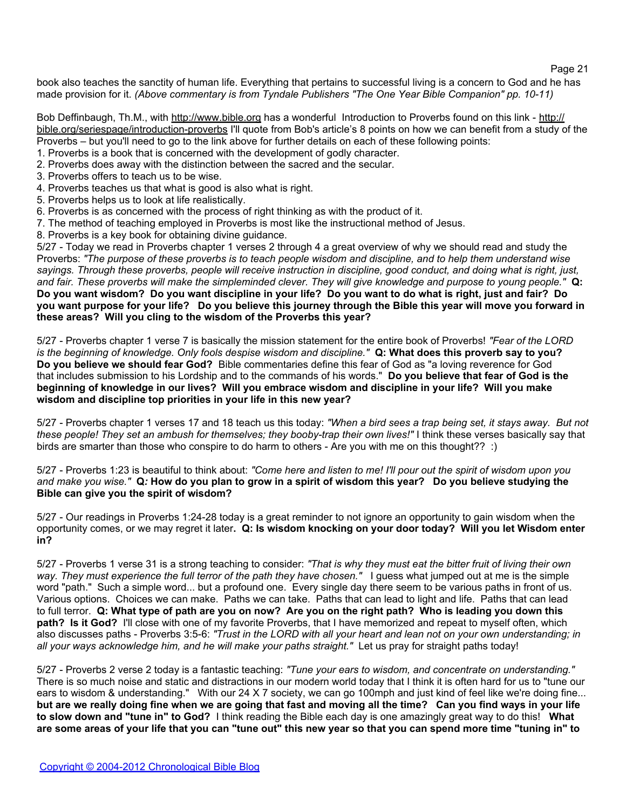book also teaches the sanctity of human life. Everything that pertains to successful living is a concern to God and he has made provision for it. *(Above commentary is from Tyndale Publishers "The One Year Bible Companion" pp. 10-11)*

Bob Deffinbaugh, Th.M., with [http://www.bible.org](http://www.bible.org/) has a wonderful Introduction to Proverbs found on this link - [http://](http://bible.org/seriespage/introduction-proverbs) [bible.org/seriespage/introduction-proverbs](http://bible.org/seriespage/introduction-proverbs) I'll quote from Bob's article's 8 points on how we can benefit from a study of the Proverbs – but you'll need to go to the link above for further details on each of these following points:

- 1. Proverbs is a book that is concerned with the development of godly character.
- 2. Proverbs does away with the distinction between the sacred and the secular.
- 3. Proverbs offers to teach us to be wise.
- 4. Proverbs teaches us that what is good is also what is right.
- 5. Proverbs helps us to look at life realistically.
- 6. Proverbs is as concerned with the process of right thinking as with the product of it.
- 7. The method of teaching employed in Proverbs is most like the instructional method of Jesus.
- 8. Proverbs is a key book for obtaining divine guidance.

5/27 - Today we read in Proverbs chapter 1 verses 2 through 4 a great overview of why we should read and study the Proverbs: *"The purpose of these proverbs is to teach people wisdom and discipline, and to help them understand wise sayings. Through these proverbs, people will receive instruction in discipline, good conduct, and doing what is right, just, and fair. These proverbs will make the simpleminded clever. They will give knowledge and purpose to young people."* **Q: Do you want wisdom? Do you want discipline in your life? Do you want to do what is right, just and fair? Do you want purpose for your life? Do you believe this journey through the Bible this year will move you forward in these areas? Will you cling to the wisdom of the Proverbs this year?**

5/27 - Proverbs chapter 1 verse 7 is basically the mission statement for the entire book of Proverbs! *"Fear of the LORD is the beginning of knowledge. Only fools despise wisdom and discipline."* **Q: What does this proverb say to you? Do you believe we should fear God?** Bible commentaries define this fear of God as "a loving reverence for God that includes submission to his Lordship and to the commands of his words." **Do you believe that fear of God is the beginning of knowledge in our lives? Will you embrace wisdom and discipline in your life? Will you make wisdom and discipline top priorities in your life in this new year?**

5/27 - Proverbs chapter 1 verses 17 and 18 teach us this today: *"When a bird sees a trap being set, it stays away. But not these people! They set an ambush for themselves; they booby-trap their own lives!"* I think these verses basically say that birds are smarter than those who conspire to do harm to others - Are you with me on this thought?? :)

5/27 - Proverbs 1:23 is beautiful to think about: *"Come here and listen to me! I'll pour out the spirit of wisdom upon you and make you wise."* **Q***:* **How do you plan to grow in a spirit of wisdom this year? Do you believe studying the Bible can give you the spirit of wisdom?**

5/27 - Our readings in Proverbs 1:24-28 today is a great reminder to not ignore an opportunity to gain wisdom when the opportunity comes, or we may regret it later**. Q: Is wisdom knocking on your door today? Will you let Wisdom enter in?** 

5/27 - Proverbs 1 verse 31 is a strong teaching to consider: *"That is why they must eat the bitter fruit of living their own way. They must experience the full terror of the path they have chosen."* I guess what jumped out at me is the simple word "path." Such a simple word... but a profound one. Every single day there seem to be various paths in front of us. Various options. Choices we can make. Paths we can take. Paths that can lead to light and life. Paths that can lead to full terror. **Q: What type of path are you on now? Are you on the right path? Who is leading you down this path? Is it God?** I'll close with one of my favorite Proverbs, that I have memorized and repeat to myself often, which also discusses paths - Proverbs 3:5-6: *"Trust in the LORD with all your heart and lean not on your own understanding; in all your ways acknowledge him, and he will make your paths straight."* Let us pray for straight paths today!

5/27 - Proverbs 2 verse 2 today is a fantastic teaching: *"Tune your ears to wisdom, and concentrate on understanding."* There is so much noise and static and distractions in our modern world today that I think it is often hard for us to "tune our ears to wisdom & understanding." With our 24 X 7 society, we can go 100mph and just kind of feel like we're doing fine... **but are we really doing fine when we are going that fast and moving all the time? Can you find ways in your life to slow down and "tune in" to God?** I think reading the Bible each day is one amazingly great way to do this! **What are some areas of your life that you can "tune out" this new year so that you can spend more time "tuning in" to**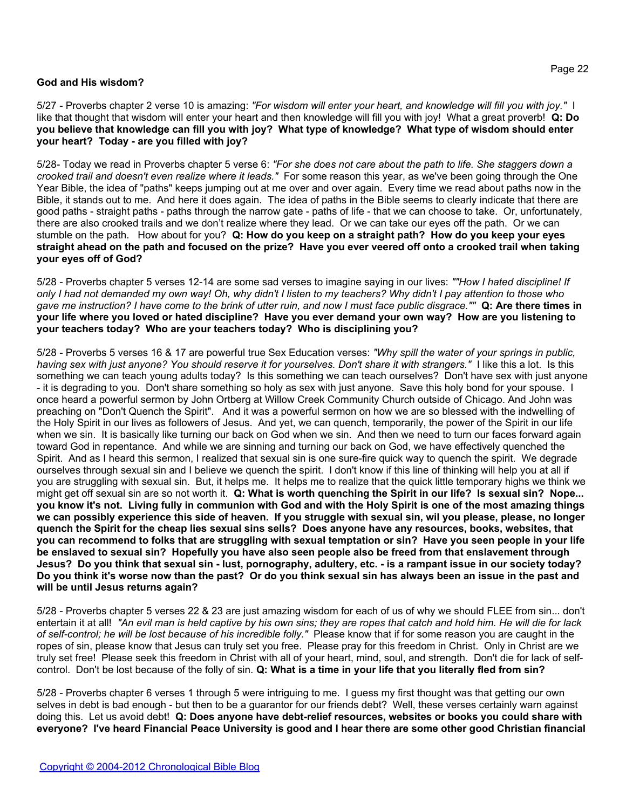## **God and His wisdom?**

5/27 - Proverbs chapter 2 verse 10 is amazing: *"For wisdom will enter your heart, and knowledge will fill you with joy."* I like that thought that wisdom will enter your heart and then knowledge will fill you with joy! What a great proverb! **Q: Do you believe that knowledge can fill you with joy? What type of knowledge? What type of wisdom should enter your heart? Today - are you filled with joy?**

5/28- Today we read in Proverbs chapter 5 verse 6: *"For she does not care about the path to life. She staggers down a crooked trail and doesn't even realize where it leads."* For some reason this year, as we've been going through the One Year Bible, the idea of "paths" keeps jumping out at me over and over again. Every time we read about paths now in the Bible, it stands out to me. And here it does again. The idea of paths in the Bible seems to clearly indicate that there are good paths - straight paths - paths through the narrow gate - paths of life - that we can choose to take. Or, unfortunately, there are also crooked trails and we don't realize where they lead. Or we can take our eyes off the path. Or we can stumble on the path. How about for you? **Q: How do you keep on a straight path? How do you keep your eyes straight ahead on the path and focused on the prize? Have you ever veered off onto a crooked trail when taking your eyes off of God?**

5/28 - Proverbs chapter 5 verses 12-14 are some sad verses to imagine saying in our lives: *""How I hated discipline! If only I had not demanded my own way! Oh, why didn't I listen to my teachers? Why didn't I pay attention to those who gave me instruction? I have come to the brink of utter ruin, and now I must face public disgrace.""* **Q: Are there times in your life where you loved or hated discipline? Have you ever demand your own way? How are you listening to your teachers today? Who are your teachers today? Who is disciplining you?** 

5/28 - Proverbs 5 verses 16 & 17 are powerful true Sex Education verses: *"Why spill the water of your springs in public, having sex with just anyone? You should reserve it for yourselves. Don't share it with strangers."* I like this a lot. Is this something we can teach young adults today? Is this something we can teach ourselves? Don't have sex with just anyone - it is degrading to you. Don't share something so holy as sex with just anyone. Save this holy bond for your spouse. I once heard a powerful sermon by John Ortberg at Willow Creek Community Church outside of Chicago. And John was preaching on "Don't Quench the Spirit". And it was a powerful sermon on how we are so blessed with the indwelling of the Holy Spirit in our lives as followers of Jesus. And yet, we can quench, temporarily, the power of the Spirit in our life when we sin. It is basically like turning our back on God when we sin. And then we need to turn our faces forward again toward God in repentance. And while we are sinning and turning our back on God, we have effectively quenched the Spirit. And as I heard this sermon, I realized that sexual sin is one sure-fire quick way to quench the spirit. We degrade ourselves through sexual sin and I believe we quench the spirit. I don't know if this line of thinking will help you at all if you are struggling with sexual sin. But, it helps me. It helps me to realize that the quick little temporary highs we think we might get off sexual sin are so not worth it. **Q: What is worth quenching the Spirit in our life? Is sexual sin? Nope... you know it's not. Living fully in communion with God and with the Holy Spirit is one of the most amazing things we can possibly experience this side of heaven. If you struggle with sexual sin, wil you please, please, no longer quench the Spirit for the cheap lies sexual sins sells? Does anyone have any resources, books, websites, that you can recommend to folks that are struggling with sexual temptation or sin? Have you seen people in your life be enslaved to sexual sin? Hopefully you have also seen people also be freed from that enslavement through Jesus? Do you think that sexual sin - lust, pornography, adultery, etc. - is a rampant issue in our society today? Do you think it's worse now than the past? Or do you think sexual sin has always been an issue in the past and will be until Jesus returns again?** 

5/28 - Proverbs chapter 5 verses 22 & 23 are just amazing wisdom for each of us of why we should FLEE from sin... don't entertain it at all! *"An evil man is held captive by his own sins; they are ropes that catch and hold him. He will die for lack of self-control; he will be lost because of his incredible folly."* Please know that if for some reason you are caught in the ropes of sin, please know that Jesus can truly set you free. Please pray for this freedom in Christ. Only in Christ are we truly set free! Please seek this freedom in Christ with all of your heart, mind, soul, and strength. Don't die for lack of selfcontrol. Don't be lost because of the folly of sin. **Q: What is a time in your life that you literally fled from sin?**

5/28 - Proverbs chapter 6 verses 1 through 5 were intriguing to me. I guess my first thought was that getting our own selves in debt is bad enough - but then to be a guarantor for our friends debt? Well, these verses certainly warn against doing this. Let us avoid debt! **Q: Does anyone have debt-relief resources, websites or books you could share with everyone? I've heard Financial Peace University is good and I hear there are some other good Christian financial**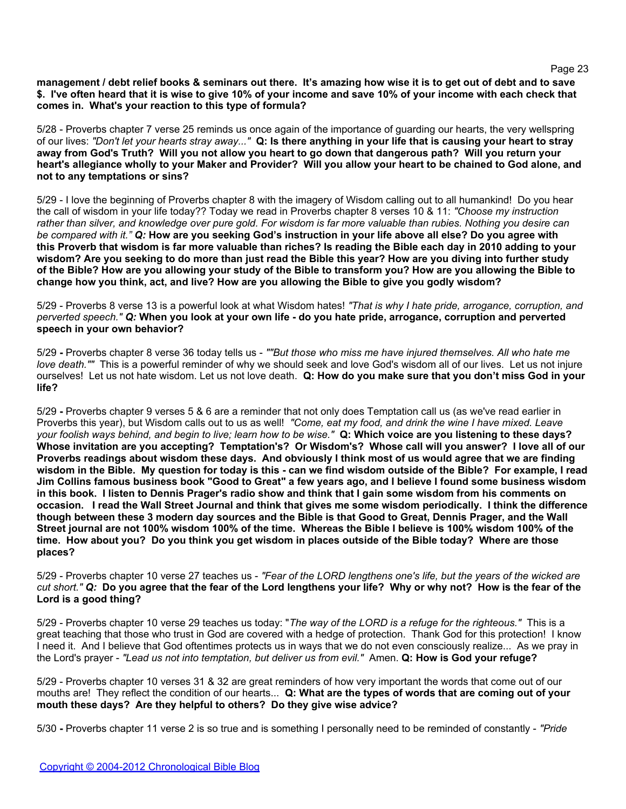**management / debt relief books & seminars out there. It's amazing how wise it is to get out of debt and to save \$. I've often heard that it is wise to give 10% of your income and save 10% of your income with each check that comes in. What's your reaction to this type of formula?**

5/28 - Proverbs chapter 7 verse 25 reminds us once again of the importance of guarding our hearts, the very wellspring of our lives: *"Don't let your hearts stray away..."* **Q: Is there anything in your life that is causing your heart to stray away from God's Truth? Will you not allow you heart to go down that dangerous path? Will you return your heart's allegiance wholly to your Maker and Provider? Will you allow your heart to be chained to God alone, and not to any temptations or sins?**

5/29 - I love the beginning of Proverbs chapter 8 with the imagery of Wisdom calling out to all humankind! Do you hear the call of wisdom in your life today?? Today we read in Proverbs chapter 8 verses 10 & 11: *"Choose my instruction rather than silver, and knowledge over pure gold. For wisdom is far more valuable than rubies. Nothing you desire can be compared with it." Q:* **How are you seeking God's instruction in your life above all else? Do you agree with this Proverb that wisdom is far more valuable than riches? Is reading the Bible each day in 2010 adding to your wisdom? Are you seeking to do more than just read the Bible this year? How are you diving into further study of the Bible? How are you allowing your study of the Bible to transform you? How are you allowing the Bible to change how you think, act, and live? How are you allowing the Bible to give you godly wisdom?**

5/29 - Proverbs 8 verse 13 is a powerful look at what Wisdom hates! *"That is why I hate pride, arrogance, corruption, and perverted speech." Q:* **When you look at your own life - do you hate pride, arrogance, corruption and perverted speech in your own behavior?**

5/29 **-** Proverbs chapter 8 verse 36 today tells us - *""But those who miss me have injured themselves. All who hate me love death.""* This is a powerful reminder of why we should seek and love God's wisdom all of our lives. Let us not injure ourselves! Let us not hate wisdom. Let us not love death. **Q: How do you make sure that you don't miss God in your life?**

5/29 **-** Proverbs chapter 9 verses 5 & 6 are a reminder that not only does Temptation call us (as we've read earlier in Proverbs this year), but Wisdom calls out to us as well! *"Come, eat my food, and drink the wine I have mixed. Leave your foolish ways behind, and begin to live; learn how to be wise."* **Q: Which voice are you listening to these days? Whose invitation are you accepting? Temptation's? Or Wisdom's? Whose call will you answer? I love all of our Proverbs readings about wisdom these days. And obviously I think most of us would agree that we are finding wisdom in the Bible. My question for today is this - can we find wisdom outside of the Bible? For example, I read Jim Collins famous business book "Good to Great" a few years ago, and I believe I found some business wisdom in this book. I listen to Dennis Prager's radio show and think that I gain some wisdom from his comments on occasion. I read the Wall Street Journal and think that gives me some wisdom periodically. I think the difference though between these 3 modern day sources and the Bible is that Good to Great, Dennis Prager, and the Wall Street journal are not 100% wisdom 100% of the time. Whereas the Bible I believe is 100% wisdom 100% of the time. How about you? Do you think you get wisdom in places outside of the Bible today? Where are those places?**

5/29 - Proverbs chapter 10 verse 27 teaches us - *"Fear of the LORD lengthens one's life, but the years of the wicked are cut short." Q:* **Do you agree that the fear of the Lord lengthens your life? Why or why not? How is the fear of the Lord is a good thing?**

5/29 - Proverbs chapter 10 verse 29 teaches us today: "*The way of the LORD is a refuge for the righteous."* This is a great teaching that those who trust in God are covered with a hedge of protection. Thank God for this protection! I know I need it. And I believe that God oftentimes protects us in ways that we do not even consciously realize... As we pray in the Lord's prayer - *"Lead us not into temptation, but deliver us from evil."* Amen. **Q: How is God your refuge?**

5/29 - Proverbs chapter 10 verses 31 & 32 are great reminders of how very important the words that come out of our mouths are! They reflect the condition of our hearts... **Q: What are the types of words that are coming out of your mouth these days? Are they helpful to others? Do they give wise advice?**

5/30 **-** Proverbs chapter 11 verse 2 is so true and is something I personally need to be reminded of constantly - *"Pride*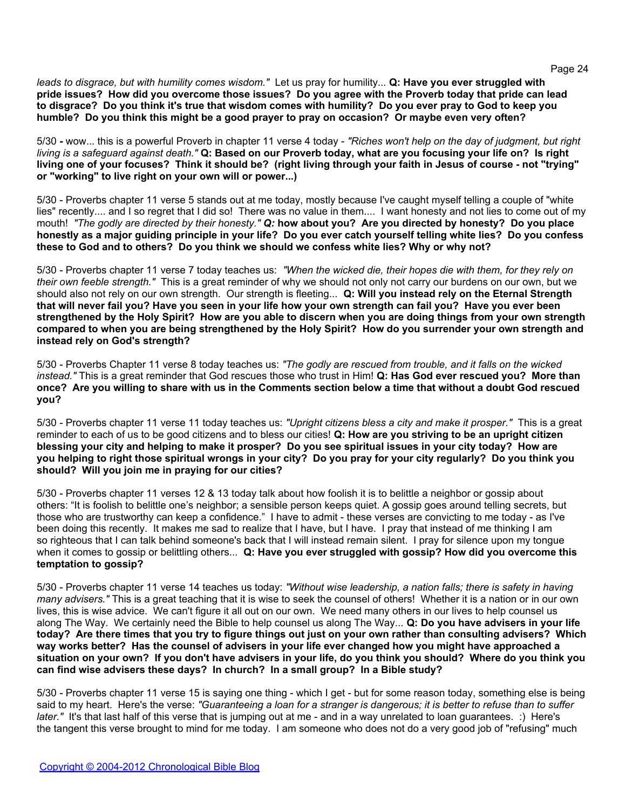*leads to disgrace, but with humility comes wisdom."* Let us pray for humility... **Q: Have you ever struggled with pride issues? How did you overcome those issues? Do you agree with the Proverb today that pride can lead to disgrace? Do you think it's true that wisdom comes with humility? Do you ever pray to God to keep you humble? Do you think this might be a good prayer to pray on occasion? Or maybe even very often?**

5/30 **-** wow... this is a powerful Proverb in chapter 11 verse 4 today - *"Riches won't help on the day of judgment, but right living is a safeguard against death."* **Q: Based on our Proverb today, what are you focusing your life on? Is right living one of your focuses? Think it should be? (right living through your faith in Jesus of course - not "trying" or "working" to live right on your own will or power...)**

5/30 - Proverbs chapter 11 verse 5 stands out at me today, mostly because I've caught myself telling a couple of "white lies" recently.... and I so regret that I did so! There was no value in them.... I want honesty and not lies to come out of my mouth! *"The godly are directed by their honesty." Q:* **how about you? Are you directed by honesty? Do you place honestly as a major guiding principle in your life? Do you ever catch yourself telling white lies? Do you confess these to God and to others? Do you think we should we confess white lies? Why or why not?**

5/30 - Proverbs chapter 11 verse 7 today teaches us: *"When the wicked die, their hopes die with them, for they rely on their own feeble strength."* This is a great reminder of why we should not only not carry our burdens on our own, but we should also not rely on our own strength. Our strength is fleeting... **Q: Will you instead rely on the Eternal Strength that will never fail you? Have you seen in your life how your own strength can fail you? Have you ever been strengthened by the Holy Spirit? How are you able to discern when you are doing things from your own strength compared to when you are being strengthened by the Holy Spirit? How do you surrender your own strength and instead rely on God's strength?**

5/30 - Proverbs Chapter 11 verse 8 today teaches us: *"The godly are rescued from trouble, and it falls on the wicked instead."* This is a great reminder that God rescues those who trust in Him! **Q: Has God ever rescued you? More than once? Are you willing to share with us in the Comments section below a time that without a doubt God rescued you?**

5/30 - Proverbs chapter 11 verse 11 today teaches us: *"Upright citizens bless a city and make it prosper."* This is a great reminder to each of us to be good citizens and to bless our cities! **Q: How are you striving to be an upright citizen blessing your city and helping to make it prosper? Do you see spiritual issues in your city today? How are you helping to right those spiritual wrongs in your city? Do you pray for your city regularly? Do you think you should? Will you join me in praying for our cities?**

5/30 - Proverbs chapter 11 verses 12 & 13 today talk about how foolish it is to belittle a neighbor or gossip about others: "It is foolish to belittle one's neighbor; a sensible person keeps quiet. A gossip goes around telling secrets, but those who are trustworthy can keep a confidence." I have to admit - these verses are convicting to me today - as I've been doing this recently. It makes me sad to realize that I have, but I have. I pray that instead of me thinking I am so righteous that I can talk behind someone's back that I will instead remain silent. I pray for silence upon my tongue when it comes to gossip or belittling others... **Q: Have you ever struggled with gossip? How did you overcome this temptation to gossip?**

5/30 - Proverbs chapter 11 verse 14 teaches us today: *"Without wise leadership, a nation falls; there is safety in having many advisers."* This is a great teaching that it is wise to seek the counsel of others! Whether it is a nation or in our own lives, this is wise advice. We can't figure it all out on our own. We need many others in our lives to help counsel us along The Way. We certainly need the Bible to help counsel us along The Way... **Q: Do you have advisers in your life today? Are there times that you try to figure things out just on your own rather than consulting advisers? Which way works better? Has the counsel of advisers in your life ever changed how you might have approached a situation on your own? If you don't have advisers in your life, do you think you should? Where do you think you can find wise advisers these days? In church? In a small group? In a Bible study?**

5/30 - Proverbs chapter 11 verse 15 is saying one thing - which I get - but for some reason today, something else is being said to my heart. Here's the verse: *"Guaranteeing a loan for a stranger is dangerous; it is better to refuse than to suffer later.*" It's that last half of this verse that is jumping out at me - and in a way unrelated to loan guarantees. :) Here's the tangent this verse brought to mind for me today. I am someone who does not do a very good job of "refusing" much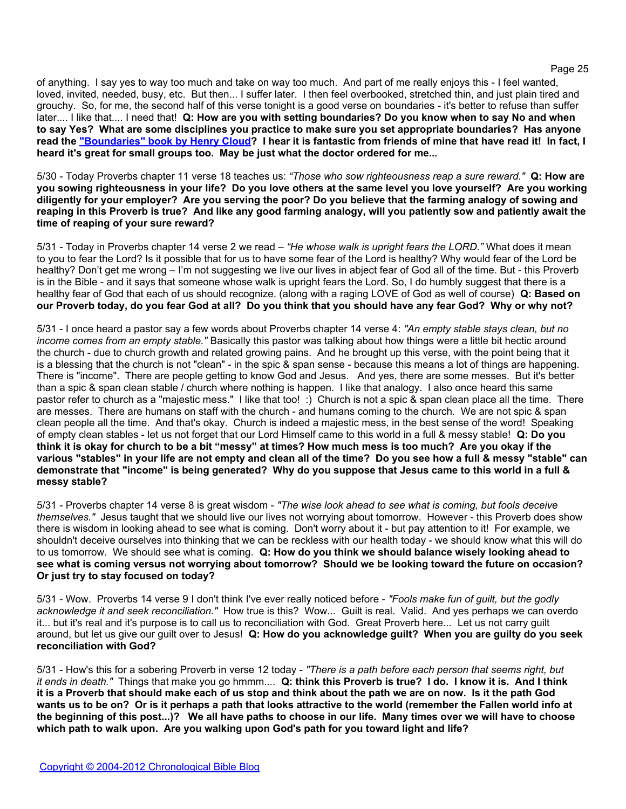of anything. I say yes to way too much and take on way too much. And part of me really enjoys this - I feel wanted, loved, invited, needed, busy, etc. But then... I suffer later. I then feel overbooked, stretched thin, and just plain tired and grouchy. So, for me, the second half of this verse tonight is a good verse on boundaries - it's better to refuse than suffer later.... I like that.... I need that! **Q: How are you with setting boundaries? Do you know when to say No and when to say Yes? What are some disciplines you practice to make sure you set appropriate boundaries? Has anyone read the ["Boundaries" book](http://blank/) [by](http://blank/) [Henry](http://blank/) [Cloud?](http://blank/) I hear it is fantastic from friends of mine that have read it! In fact, I heard it's great for small groups too. May be just what the doctor ordered for me...**

5/30 - Today Proverbs chapter 11 verse 18 teaches us: *"Those who sow righteousness reap a sure reward."* **Q: How are you sowing righteousness in your life? Do you love others at the same level you love yourself? Are you working diligently for your employer? Are you serving the poor? Do you believe that the farming analogy of sowing and reaping in this Proverb is true? And like any good farming analogy, will you patiently sow and patiently await the time of reaping of your sure reward?**

5/31 - Today in Proverbs chapter 14 verse 2 we read – *"He whose walk is upright fears the LORD."* What does it mean to you to fear the Lord? Is it possible that for us to have some fear of the Lord is healthy? Why would fear of the Lord be healthy? Don't get me wrong – I'm not suggesting we live our lives in abject fear of God all of the time. But - this Proverb is in the Bible - and it says that someone whose walk is upright fears the Lord. So, I do humbly suggest that there is a healthy fear of God that each of us should recognize. (along with a raging LOVE of God as well of course) **Q: Based on our Proverb today, do you fear God at all? Do you think that you should have any fear God? Why or why not?**

5/31 - I once heard a pastor say a few words about Proverbs chapter 14 verse 4: *"An empty stable stays clean, but no income comes from an empty stable."* Basically this pastor was talking about how things were a little bit hectic around the church - due to church growth and related growing pains. And he brought up this verse, with the point being that it is a blessing that the church is not "clean" - in the spic & span sense - because this means a lot of things are happening. There is "income". There are people getting to know God and Jesus. And yes, there are some messes. But it's better than a spic & span clean stable / church where nothing is happen. I like that analogy. I also once heard this same pastor refer to church as a "majestic mess." I like that too! :) Church is not a spic & span clean place all the time. There are messes. There are humans on staff with the church - and humans coming to the church. We are not spic & span clean people all the time. And that's okay. Church is indeed a majestic mess, in the best sense of the word! Speaking of empty clean stables - let us not forget that our Lord Himself came to this world in a full & messy stable! **Q: Do you think it is okay for church to be a bit "messy" at times? How much mess is too much? Are you okay if the various "stables" in your life are not empty and clean all of the time? Do you see how a full & messy "stable" can demonstrate that "income" is being generated? Why do you suppose that Jesus came to this world in a full & messy stable?**

5/31 - Proverbs chapter 14 verse 8 is great wisdom - *"The wise look ahead to see what is coming, but fools deceive themselves."* Jesus taught that we should live our lives not worrying about tomorrow. However - this Proverb does show there is wisdom in looking ahead to see what is coming. Don't worry about it - but pay attention to it! For example, we shouldn't deceive ourselves into thinking that we can be reckless with our health today - we should know what this will do to us tomorrow. We should see what is coming. **Q: How do you think we should balance wisely looking ahead to see what is coming versus not worrying about tomorrow? Should we be looking toward the future on occasion? Or just try to stay focused on today?**

5/31 - Wow. Proverbs 14 verse 9 I don't think I've ever really noticed before - *"Fools make fun of guilt, but the godly acknowledge it and seek reconciliation."* How true is this? Wow... Guilt is real. Valid. And yes perhaps we can overdo it... but it's real and it's purpose is to call us to reconciliation with God. Great Proverb here...Let us not carry guilt around, but let us give our guilt over to Jesus! **Q: How do you acknowledge guilt? When you are guilty do you seek reconciliation with God?** 

5/31 - How's this for a sobering Proverb in verse 12 today - *"There is a path before each person that seems right, but it ends in death."* Things that make you go hmmm.... **Q: think this Proverb is true? I do. I know it is. And I think it is a Proverb that should make each of us stop and think about the path we are on now. Is it the path God wants us to be on? Or is it perhaps a path that looks attractive to the world (remember the Fallen world info at the beginning of this post...)? We all have paths to choose in our life. Many times over we will have to choose which path to walk upon. Are you walking upon God's path for you toward light and life?**